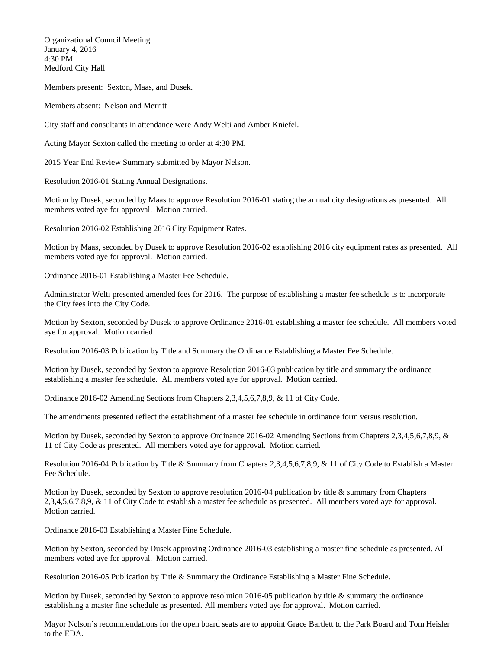Organizational Council Meeting January 4, 2016 4:30 PM Medford City Hall

Members present: Sexton, Maas, and Dusek.

Members absent: Nelson and Merritt

City staff and consultants in attendance were Andy Welti and Amber Kniefel.

Acting Mayor Sexton called the meeting to order at 4:30 PM.

2015 Year End Review Summary submitted by Mayor Nelson.

Resolution 2016-01 Stating Annual Designations.

Motion by Dusek, seconded by Maas to approve Resolution 2016-01 stating the annual city designations as presented. All members voted aye for approval. Motion carried.

Resolution 2016-02 Establishing 2016 City Equipment Rates.

Motion by Maas, seconded by Dusek to approve Resolution 2016-02 establishing 2016 city equipment rates as presented. All members voted aye for approval. Motion carried.

Ordinance 2016-01 Establishing a Master Fee Schedule.

Administrator Welti presented amended fees for 2016. The purpose of establishing a master fee schedule is to incorporate the City fees into the City Code.

Motion by Sexton, seconded by Dusek to approve Ordinance 2016-01 establishing a master fee schedule. All members voted aye for approval. Motion carried.

Resolution 2016-03 Publication by Title and Summary the Ordinance Establishing a Master Fee Schedule.

Motion by Dusek, seconded by Sexton to approve Resolution 2016-03 publication by title and summary the ordinance establishing a master fee schedule. All members voted aye for approval. Motion carried.

Ordinance 2016-02 Amending Sections from Chapters 2,3,4,5,6,7,8,9, & 11 of City Code.

The amendments presented reflect the establishment of a master fee schedule in ordinance form versus resolution.

Motion by Dusek, seconded by Sexton to approve Ordinance 2016-02 Amending Sections from Chapters 2,3,4,5,6,7,8,9, & 11 of City Code as presented. All members voted aye for approval. Motion carried.

Resolution 2016-04 Publication by Title & Summary from Chapters 2,3,4,5,6,7,8,9, & 11 of City Code to Establish a Master Fee Schedule.

Motion by Dusek, seconded by Sexton to approve resolution 2016-04 publication by title & summary from Chapters 2,3,4,5,6,7,8,9, & 11 of City Code to establish a master fee schedule as presented. All members voted aye for approval. Motion carried.

Ordinance 2016-03 Establishing a Master Fine Schedule.

Motion by Sexton, seconded by Dusek approving Ordinance 2016-03 establishing a master fine schedule as presented. All members voted aye for approval. Motion carried.

Resolution 2016-05 Publication by Title & Summary the Ordinance Establishing a Master Fine Schedule.

Motion by Dusek, seconded by Sexton to approve resolution 2016-05 publication by title & summary the ordinance establishing a master fine schedule as presented. All members voted aye for approval. Motion carried.

Mayor Nelson's recommendations for the open board seats are to appoint Grace Bartlett to the Park Board and Tom Heisler to the EDA.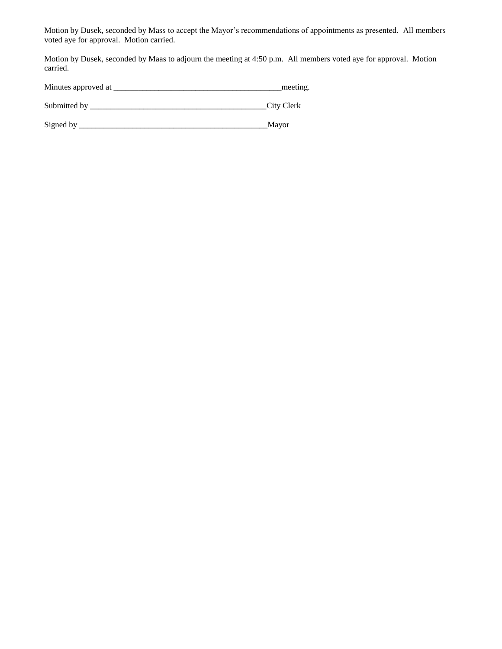Motion by Dusek, seconded by Mass to accept the Mayor's recommendations of appointments as presented. All members voted aye for approval. Motion carried.

Motion by Dusek, seconded by Maas to adjourn the meeting at 4:50 p.m. All members voted aye for approval. Motion carried.

| Minutes approved at |  | meeting |
|---------------------|--|---------|
|---------------------|--|---------|

Submitted by \_\_\_\_\_\_\_\_\_\_\_\_\_\_\_\_\_\_\_\_\_\_\_\_\_\_\_\_\_\_\_\_\_\_\_\_\_\_\_\_\_\_\_City Clerk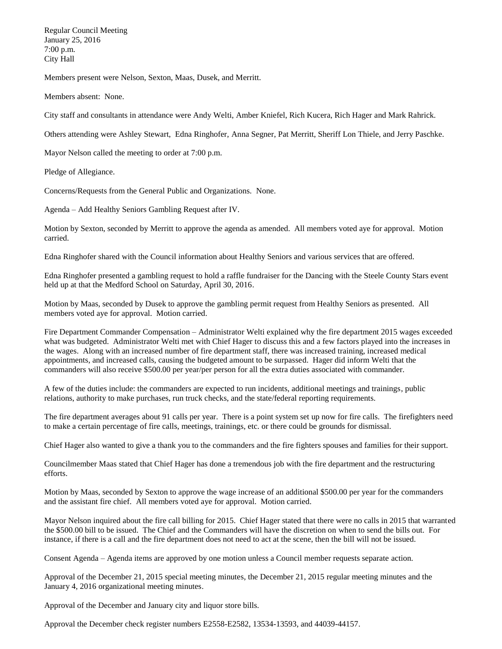Regular Council Meeting January 25, 2016 7:00 p.m. City Hall

Members present were Nelson, Sexton, Maas, Dusek, and Merritt.

Members absent: None.

City staff and consultants in attendance were Andy Welti, Amber Kniefel, Rich Kucera, Rich Hager and Mark Rahrick.

Others attending were Ashley Stewart, Edna Ringhofer, Anna Segner, Pat Merritt, Sheriff Lon Thiele, and Jerry Paschke.

Mayor Nelson called the meeting to order at 7:00 p.m.

Pledge of Allegiance.

Concerns/Requests from the General Public and Organizations. None.

Agenda – Add Healthy Seniors Gambling Request after IV.

Motion by Sexton, seconded by Merritt to approve the agenda as amended. All members voted aye for approval. Motion carried.

Edna Ringhofer shared with the Council information about Healthy Seniors and various services that are offered.

Edna Ringhofer presented a gambling request to hold a raffle fundraiser for the Dancing with the Steele County Stars event held up at that the Medford School on Saturday, April 30, 2016.

Motion by Maas, seconded by Dusek to approve the gambling permit request from Healthy Seniors as presented. All members voted aye for approval. Motion carried.

Fire Department Commander Compensation – Administrator Welti explained why the fire department 2015 wages exceeded what was budgeted. Administrator Welti met with Chief Hager to discuss this and a few factors played into the increases in the wages. Along with an increased number of fire department staff, there was increased training, increased medical appointments, and increased calls, causing the budgeted amount to be surpassed. Hager did inform Welti that the commanders will also receive \$500.00 per year/per person for all the extra duties associated with commander.

A few of the duties include: the commanders are expected to run incidents, additional meetings and trainings, public relations, authority to make purchases, run truck checks, and the state/federal reporting requirements.

The fire department averages about 91 calls per year. There is a point system set up now for fire calls. The firefighters need to make a certain percentage of fire calls, meetings, trainings, etc. or there could be grounds for dismissal.

Chief Hager also wanted to give a thank you to the commanders and the fire fighters spouses and families for their support.

Councilmember Maas stated that Chief Hager has done a tremendous job with the fire department and the restructuring efforts.

Motion by Maas, seconded by Sexton to approve the wage increase of an additional \$500.00 per year for the commanders and the assistant fire chief. All members voted aye for approval. Motion carried.

Mayor Nelson inquired about the fire call billing for 2015. Chief Hager stated that there were no calls in 2015 that warranted the \$500.00 bill to be issued. The Chief and the Commanders will have the discretion on when to send the bills out. For instance, if there is a call and the fire department does not need to act at the scene, then the bill will not be issued.

Consent Agenda – Agenda items are approved by one motion unless a Council member requests separate action.

Approval of the December 21, 2015 special meeting minutes, the December 21, 2015 regular meeting minutes and the January 4, 2016 organizational meeting minutes.

Approval of the December and January city and liquor store bills.

Approval the December check register numbers E2558-E2582, 13534-13593, and 44039-44157.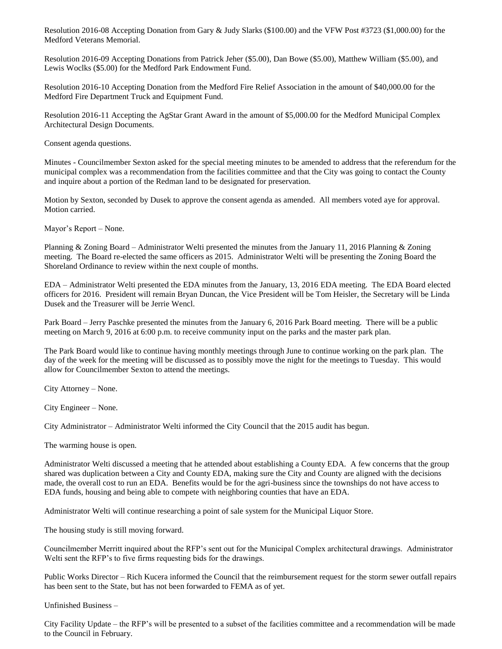Resolution 2016-08 Accepting Donation from Gary & Judy Slarks (\$100.00) and the VFW Post #3723 (\$1,000.00) for the Medford Veterans Memorial.

Resolution 2016-09 Accepting Donations from Patrick Jeher (\$5.00), Dan Bowe (\$5.00), Matthew William (\$5.00), and Lewis Woclks (\$5.00) for the Medford Park Endowment Fund.

Resolution 2016-10 Accepting Donation from the Medford Fire Relief Association in the amount of \$40,000.00 for the Medford Fire Department Truck and Equipment Fund.

Resolution 2016-11 Accepting the AgStar Grant Award in the amount of \$5,000.00 for the Medford Municipal Complex Architectural Design Documents.

Consent agenda questions.

Minutes - Councilmember Sexton asked for the special meeting minutes to be amended to address that the referendum for the municipal complex was a recommendation from the facilities committee and that the City was going to contact the County and inquire about a portion of the Redman land to be designated for preservation.

Motion by Sexton, seconded by Dusek to approve the consent agenda as amended. All members voted aye for approval. Motion carried.

Mayor's Report – None.

Planning & Zoning Board – Administrator Welti presented the minutes from the January 11, 2016 Planning & Zoning meeting. The Board re-elected the same officers as 2015. Administrator Welti will be presenting the Zoning Board the Shoreland Ordinance to review within the next couple of months.

EDA – Administrator Welti presented the EDA minutes from the January, 13, 2016 EDA meeting. The EDA Board elected officers for 2016. President will remain Bryan Duncan, the Vice President will be Tom Heisler, the Secretary will be Linda Dusek and the Treasurer will be Jerrie Wencl.

Park Board – Jerry Paschke presented the minutes from the January 6, 2016 Park Board meeting. There will be a public meeting on March 9, 2016 at 6:00 p.m. to receive community input on the parks and the master park plan.

The Park Board would like to continue having monthly meetings through June to continue working on the park plan. The day of the week for the meeting will be discussed as to possibly move the night for the meetings to Tuesday. This would allow for Councilmember Sexton to attend the meetings.

City Attorney – None.

City Engineer – None.

City Administrator – Administrator Welti informed the City Council that the 2015 audit has begun.

The warming house is open.

Administrator Welti discussed a meeting that he attended about establishing a County EDA. A few concerns that the group shared was duplication between a City and County EDA, making sure the City and County are aligned with the decisions made, the overall cost to run an EDA. Benefits would be for the agri-business since the townships do not have access to EDA funds, housing and being able to compete with neighboring counties that have an EDA.

Administrator Welti will continue researching a point of sale system for the Municipal Liquor Store.

The housing study is still moving forward.

Councilmember Merritt inquired about the RFP's sent out for the Municipal Complex architectural drawings. Administrator Welti sent the RFP's to five firms requesting bids for the drawings.

Public Works Director – Rich Kucera informed the Council that the reimbursement request for the storm sewer outfall repairs has been sent to the State, but has not been forwarded to FEMA as of yet.

Unfinished Business –

City Facility Update – the RFP's will be presented to a subset of the facilities committee and a recommendation will be made to the Council in February.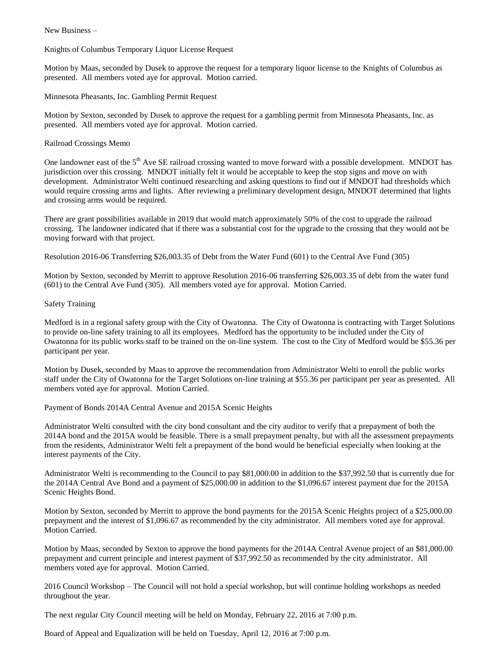New Business –

Knights of Columbus Temporary Liquor License Request

Motion by Maas, seconded by Dusek to approve the request for a temporary liquor license to the Knights of Columbus as presented. All members voted aye for approval. Motion carried.

Minnesota Pheasants, Inc. Gambling Permit Request

Motion by Sexton, seconded by Dusek to approve the request for a gambling permit from Minnesota Pheasants, Inc. as presented. All members voted aye for approval. Motion carried.

## Railroad Crossings Memo

One landowner east of the 5<sup>th</sup> Ave SE railroad crossing wanted to move forward with a possible development. MNDOT has jurisdiction over this crossing. MNDOT initially felt it would be acceptable to keep the stop signs and move on with development. Administrator Welti continued researching and asking questions to find out if MNDOT had thresholds which would require crossing arms and lights. After reviewing a preliminary development design, MNDOT determined that lights and crossing arms would be required.

There are grant possibilities available in 2019 that would match approximately 50% of the cost to upgrade the railroad crossing. The landowner indicated that if there was a substantial cost for the upgrade to the crossing that they would not be moving forward with that project.

Resolution 2016-06 Transferring \$26,003.35 of Debt from the Water Fund (601) to the Central Ave Fund (305)

Motion by Sexton, seconded by Merritt to approve Resolution 2016-06 transferring \$26,003.35 of debt from the water fund (601) to the Central Ave Fund (305). All members voted aye for approval. Motion Carried.

## Safety Training

Medford is in a regional safety group with the City of Owatonna. The City of Owatonna is contracting with Target Solutions to provide on-line safety training to all its employees. Medford has the opportunity to be included under the City of Owatonna for its public works staff to be trained on the on-line system. The cost to the City of Medford would be \$55.36 per participant per year.

Motion by Dusek, seconded by Maas to approve the recommendation from Administrator Welti to enroll the public works staff under the City of Owatonna for the Target Solutions on-line training at \$55.36 per participant per year as presented. All members voted aye for approval. Motion Carried.

Payment of Bonds 2014A Central Avenue and 2015A Scenic Heights

Administrator Welti consulted with the city bond consultant and the city auditor to verify that a prepayment of both the 2014A bond and the 2015A would be feasible. There is a small prepayment penalty, but with all the assessment prepayments from the residents, Administrator Welti felt a prepayment of the bond would be beneficial especially when looking at the interest payments of the City.

Administrator Welti is recommending to the Council to pay \$81,000.00 in addition to the \$37,992.50 that is currently due for the 2014A Central Ave Bond and a payment of \$25,000.00 in addition to the \$1,096.67 interest payment due for the 2015A Scenic Heights Bond.

Motion by Sexton, seconded by Merritt to approve the bond payments for the 2015A Scenic Heights project of a \$25,000.00 prepayment and the interest of \$1,096.67 as recommended by the city administrator. All members voted aye for approval. Motion Carried.

Motion by Maas, seconded by Sexton to approve the bond payments for the 2014A Central Avenue project of an \$81,000.00 prepayment and current principle and interest payment of \$37,992.50 as recommended by the city administrator. All members voted aye for approval. Motion Carried.

2016 Council Workshop – The Council will not hold a special workshop, but will continue holding workshops as needed throughout the year.

The next regular City Council meeting will be held on Monday, February 22, 2016 at 7:00 p.m.

Board of Appeal and Equalization will be held on Tuesday, April 12, 2016 at 7:00 p.m.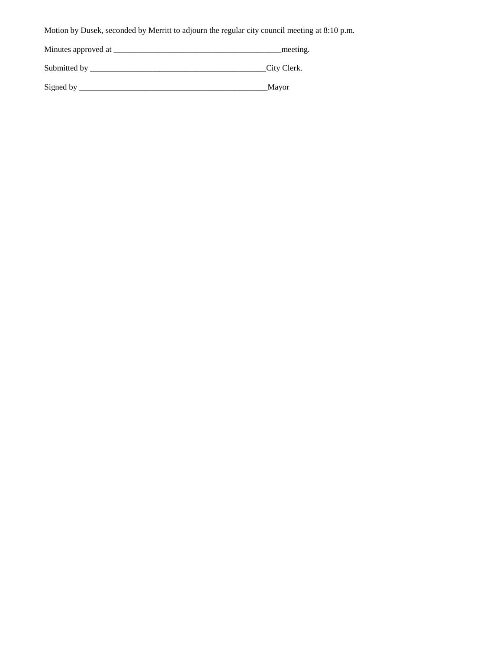Motion by Dusek, seconded by Merritt to adjourn the regular city council meeting at 8:10 p.m.

| Minutes approved at | meeting.    |
|---------------------|-------------|
| Submitted by        | City Clerk. |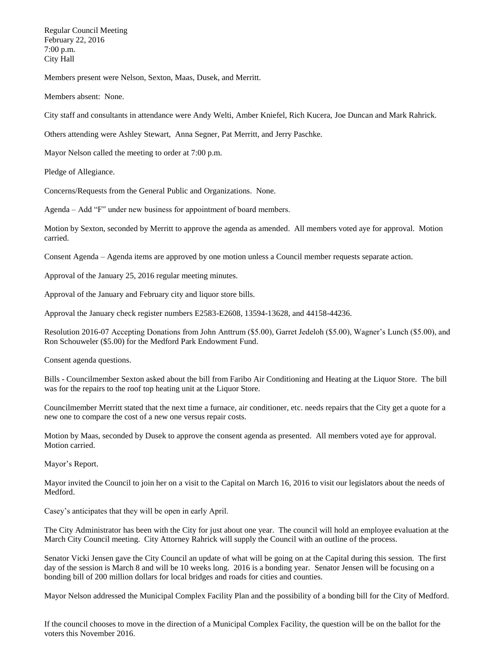Regular Council Meeting February 22, 2016 7:00 p.m. City Hall

Members present were Nelson, Sexton, Maas, Dusek, and Merritt.

Members absent: None.

City staff and consultants in attendance were Andy Welti, Amber Kniefel, Rich Kucera, Joe Duncan and Mark Rahrick.

Others attending were Ashley Stewart, Anna Segner, Pat Merritt, and Jerry Paschke.

Mayor Nelson called the meeting to order at 7:00 p.m.

Pledge of Allegiance.

Concerns/Requests from the General Public and Organizations. None.

Agenda – Add "F" under new business for appointment of board members.

Motion by Sexton, seconded by Merritt to approve the agenda as amended. All members voted aye for approval. Motion carried.

Consent Agenda – Agenda items are approved by one motion unless a Council member requests separate action.

Approval of the January 25, 2016 regular meeting minutes.

Approval of the January and February city and liquor store bills.

Approval the January check register numbers E2583-E2608, 13594-13628, and 44158-44236.

Resolution 2016-07 Accepting Donations from John Anttrum (\$5.00), Garret Jedeloh (\$5.00), Wagner's Lunch (\$5.00), and Ron Schouweler (\$5.00) for the Medford Park Endowment Fund.

Consent agenda questions.

Bills - Councilmember Sexton asked about the bill from Faribo Air Conditioning and Heating at the Liquor Store. The bill was for the repairs to the roof top heating unit at the Liquor Store.

Councilmember Merritt stated that the next time a furnace, air conditioner, etc. needs repairs that the City get a quote for a new one to compare the cost of a new one versus repair costs.

Motion by Maas, seconded by Dusek to approve the consent agenda as presented. All members voted aye for approval. Motion carried.

Mayor's Report.

Mayor invited the Council to join her on a visit to the Capital on March 16, 2016 to visit our legislators about the needs of Medford.

Casey's anticipates that they will be open in early April.

The City Administrator has been with the City for just about one year. The council will hold an employee evaluation at the March City Council meeting. City Attorney Rahrick will supply the Council with an outline of the process.

Senator Vicki Jensen gave the City Council an update of what will be going on at the Capital during this session. The first day of the session is March 8 and will be 10 weeks long. 2016 is a bonding year. Senator Jensen will be focusing on a bonding bill of 200 million dollars for local bridges and roads for cities and counties.

Mayor Nelson addressed the Municipal Complex Facility Plan and the possibility of a bonding bill for the City of Medford.

If the council chooses to move in the direction of a Municipal Complex Facility, the question will be on the ballot for the voters this November 2016.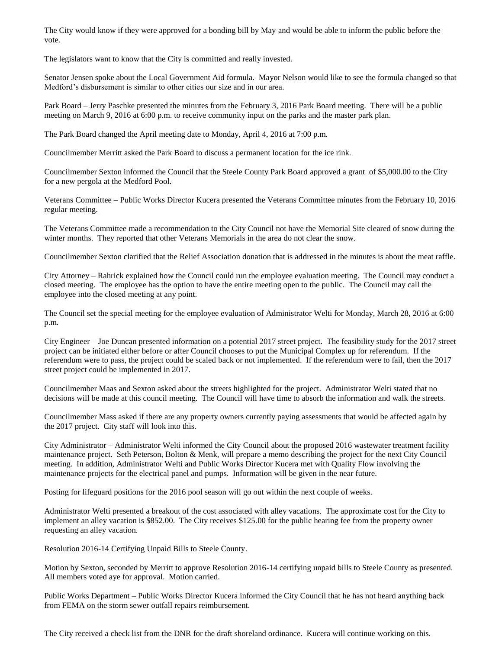The City would know if they were approved for a bonding bill by May and would be able to inform the public before the vote.

The legislators want to know that the City is committed and really invested.

Senator Jensen spoke about the Local Government Aid formula. Mayor Nelson would like to see the formula changed so that Medford's disbursement is similar to other cities our size and in our area.

Park Board – Jerry Paschke presented the minutes from the February 3, 2016 Park Board meeting. There will be a public meeting on March 9, 2016 at 6:00 p.m. to receive community input on the parks and the master park plan.

The Park Board changed the April meeting date to Monday, April 4, 2016 at 7:00 p.m.

Councilmember Merritt asked the Park Board to discuss a permanent location for the ice rink.

Councilmember Sexton informed the Council that the Steele County Park Board approved a grant of \$5,000.00 to the City for a new pergola at the Medford Pool.

Veterans Committee – Public Works Director Kucera presented the Veterans Committee minutes from the February 10, 2016 regular meeting.

The Veterans Committee made a recommendation to the City Council not have the Memorial Site cleared of snow during the winter months. They reported that other Veterans Memorials in the area do not clear the snow.

Councilmember Sexton clarified that the Relief Association donation that is addressed in the minutes is about the meat raffle.

City Attorney – Rahrick explained how the Council could run the employee evaluation meeting. The Council may conduct a closed meeting. The employee has the option to have the entire meeting open to the public. The Council may call the employee into the closed meeting at any point.

The Council set the special meeting for the employee evaluation of Administrator Welti for Monday, March 28, 2016 at 6:00 p.m.

City Engineer – Joe Duncan presented information on a potential 2017 street project. The feasibility study for the 2017 street project can be initiated either before or after Council chooses to put the Municipal Complex up for referendum. If the referendum were to pass, the project could be scaled back or not implemented. If the referendum were to fail, then the 2017 street project could be implemented in 2017.

Councilmember Maas and Sexton asked about the streets highlighted for the project. Administrator Welti stated that no decisions will be made at this council meeting. The Council will have time to absorb the information and walk the streets.

Councilmember Mass asked if there are any property owners currently paying assessments that would be affected again by the 2017 project. City staff will look into this.

City Administrator – Administrator Welti informed the City Council about the proposed 2016 wastewater treatment facility maintenance project. Seth Peterson, Bolton & Menk, will prepare a memo describing the project for the next City Council meeting. In addition, Administrator Welti and Public Works Director Kucera met with Quality Flow involving the maintenance projects for the electrical panel and pumps. Information will be given in the near future.

Posting for lifeguard positions for the 2016 pool season will go out within the next couple of weeks.

Administrator Welti presented a breakout of the cost associated with alley vacations. The approximate cost for the City to implement an alley vacation is \$852.00. The City receives \$125.00 for the public hearing fee from the property owner requesting an alley vacation.

Resolution 2016-14 Certifying Unpaid Bills to Steele County.

Motion by Sexton, seconded by Merritt to approve Resolution 2016-14 certifying unpaid bills to Steele County as presented. All members voted aye for approval. Motion carried.

Public Works Department – Public Works Director Kucera informed the City Council that he has not heard anything back from FEMA on the storm sewer outfall repairs reimbursement.

The City received a check list from the DNR for the draft shoreland ordinance. Kucera will continue working on this.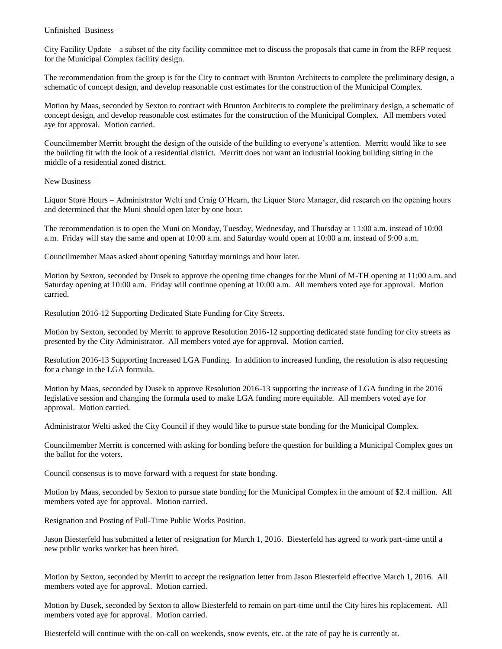Unfinished Business –

City Facility Update – a subset of the city facility committee met to discuss the proposals that came in from the RFP request for the Municipal Complex facility design.

The recommendation from the group is for the City to contract with Brunton Architects to complete the preliminary design, a schematic of concept design, and develop reasonable cost estimates for the construction of the Municipal Complex.

Motion by Maas, seconded by Sexton to contract with Brunton Architects to complete the preliminary design, a schematic of concept design, and develop reasonable cost estimates for the construction of the Municipal Complex. All members voted aye for approval. Motion carried.

Councilmember Merritt brought the design of the outside of the building to everyone's attention. Merritt would like to see the building fit with the look of a residential district. Merritt does not want an industrial looking building sitting in the middle of a residential zoned district.

New Business –

Liquor Store Hours – Administrator Welti and Craig O'Hearn, the Liquor Store Manager, did research on the opening hours and determined that the Muni should open later by one hour.

The recommendation is to open the Muni on Monday, Tuesday, Wednesday, and Thursday at 11:00 a.m. instead of 10:00 a.m. Friday will stay the same and open at 10:00 a.m. and Saturday would open at 10:00 a.m. instead of 9:00 a.m.

Councilmember Maas asked about opening Saturday mornings and hour later.

Motion by Sexton, seconded by Dusek to approve the opening time changes for the Muni of M-TH opening at 11:00 a.m. and Saturday opening at 10:00 a.m. Friday will continue opening at 10:00 a.m. All members voted aye for approval. Motion carried.

Resolution 2016-12 Supporting Dedicated State Funding for City Streets.

Motion by Sexton, seconded by Merritt to approve Resolution 2016-12 supporting dedicated state funding for city streets as presented by the City Administrator. All members voted aye for approval. Motion carried.

Resolution 2016-13 Supporting Increased LGA Funding. In addition to increased funding, the resolution is also requesting for a change in the LGA formula.

Motion by Maas, seconded by Dusek to approve Resolution 2016-13 supporting the increase of LGA funding in the 2016 legislative session and changing the formula used to make LGA funding more equitable. All members voted aye for approval. Motion carried.

Administrator Welti asked the City Council if they would like to pursue state bonding for the Municipal Complex.

Councilmember Merritt is concerned with asking for bonding before the question for building a Municipal Complex goes on the ballot for the voters.

Council consensus is to move forward with a request for state bonding.

Motion by Maas, seconded by Sexton to pursue state bonding for the Municipal Complex in the amount of \$2.4 million. All members voted aye for approval. Motion carried.

Resignation and Posting of Full-Time Public Works Position.

Jason Biesterfeld has submitted a letter of resignation for March 1, 2016. Biesterfeld has agreed to work part-time until a new public works worker has been hired.

Motion by Sexton, seconded by Merritt to accept the resignation letter from Jason Biesterfeld effective March 1, 2016. All members voted aye for approval. Motion carried.

Motion by Dusek, seconded by Sexton to allow Biesterfeld to remain on part-time until the City hires his replacement. All members voted aye for approval. Motion carried.

Biesterfeld will continue with the on-call on weekends, snow events, etc. at the rate of pay he is currently at.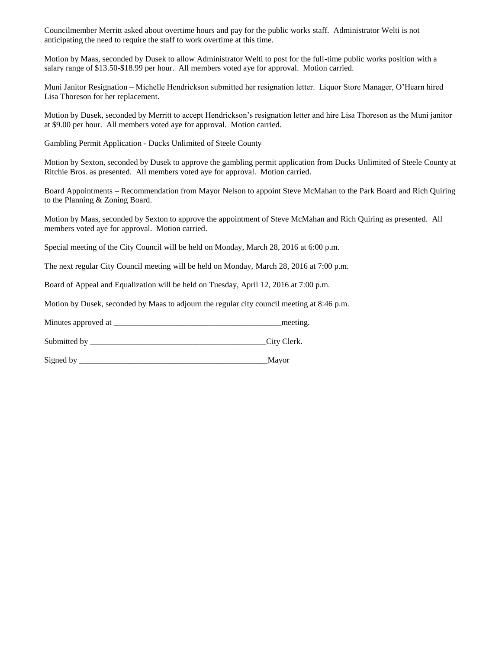Councilmember Merritt asked about overtime hours and pay for the public works staff. Administrator Welti is not anticipating the need to require the staff to work overtime at this time.

Motion by Maas, seconded by Dusek to allow Administrator Welti to post for the full-time public works position with a salary range of \$13.50-\$18.99 per hour. All members voted aye for approval. Motion carried.

Muni Janitor Resignation – Michelle Hendrickson submitted her resignation letter. Liquor Store Manager, O'Hearn hired Lisa Thoreson for her replacement.

Motion by Dusek, seconded by Merritt to accept Hendrickson's resignation letter and hire Lisa Thoreson as the Muni janitor at \$9.00 per hour. All members voted aye for approval. Motion carried.

Gambling Permit Application - Ducks Unlimited of Steele County

Motion by Sexton, seconded by Dusek to approve the gambling permit application from Ducks Unlimited of Steele County at Ritchie Bros. as presented. All members voted aye for approval. Motion carried.

Board Appointments – Recommendation from Mayor Nelson to appoint Steve McMahan to the Park Board and Rich Quiring to the Planning & Zoning Board.

Motion by Maas, seconded by Sexton to approve the appointment of Steve McMahan and Rich Quiring as presented. All members voted aye for approval. Motion carried.

Special meeting of the City Council will be held on Monday, March 28, 2016 at 6:00 p.m.

The next regular City Council meeting will be held on Monday, March 28, 2016 at 7:00 p.m.

Board of Appeal and Equalization will be held on Tuesday, April 12, 2016 at 7:00 p.m.

Motion by Dusek, seconded by Maas to adjourn the regular city council meeting at 8:46 p.m.

Minutes approved at \_\_\_\_\_\_\_\_\_\_\_\_\_\_\_\_\_\_\_\_\_\_\_\_\_\_\_\_\_\_\_\_\_\_\_\_\_\_\_\_\_meeting.

Submitted by  $\qquad \qquad \text{City Clark}.$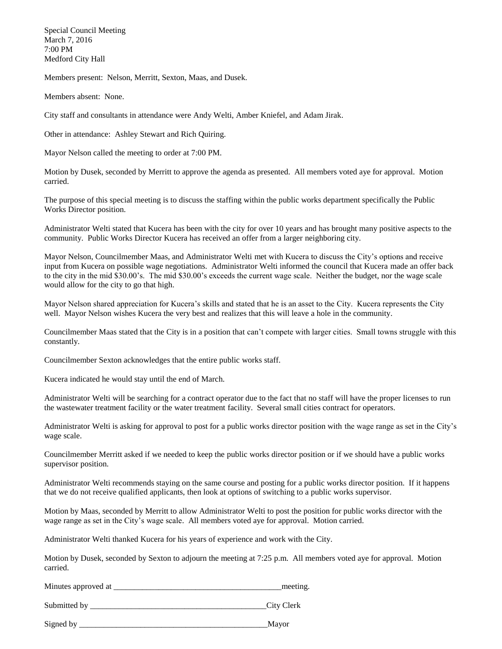Special Council Meeting March 7, 2016 7:00 PM Medford City Hall

Members present: Nelson, Merritt, Sexton, Maas, and Dusek.

Members absent: None.

City staff and consultants in attendance were Andy Welti, Amber Kniefel, and Adam Jirak.

Other in attendance: Ashley Stewart and Rich Quiring.

Mayor Nelson called the meeting to order at 7:00 PM.

Motion by Dusek, seconded by Merritt to approve the agenda as presented. All members voted aye for approval. Motion carried.

The purpose of this special meeting is to discuss the staffing within the public works department specifically the Public Works Director position.

Administrator Welti stated that Kucera has been with the city for over 10 years and has brought many positive aspects to the community. Public Works Director Kucera has received an offer from a larger neighboring city.

Mayor Nelson, Councilmember Maas, and Administrator Welti met with Kucera to discuss the City's options and receive input from Kucera on possible wage negotiations. Administrator Welti informed the council that Kucera made an offer back to the city in the mid \$30.00's. The mid \$30.00's exceeds the current wage scale. Neither the budget, nor the wage scale would allow for the city to go that high.

Mayor Nelson shared appreciation for Kucera's skills and stated that he is an asset to the City. Kucera represents the City well. Mayor Nelson wishes Kucera the very best and realizes that this will leave a hole in the community.

Councilmember Maas stated that the City is in a position that can't compete with larger cities. Small towns struggle with this constantly.

Councilmember Sexton acknowledges that the entire public works staff.

Kucera indicated he would stay until the end of March.

Administrator Welti will be searching for a contract operator due to the fact that no staff will have the proper licenses to run the wastewater treatment facility or the water treatment facility. Several small cities contract for operators.

Administrator Welti is asking for approval to post for a public works director position with the wage range as set in the City's wage scale.

Councilmember Merritt asked if we needed to keep the public works director position or if we should have a public works supervisor position.

Administrator Welti recommends staying on the same course and posting for a public works director position. If it happens that we do not receive qualified applicants, then look at options of switching to a public works supervisor.

Motion by Maas, seconded by Merritt to allow Administrator Welti to post the position for public works director with the wage range as set in the City's wage scale. All members voted aye for approval. Motion carried.

Administrator Welti thanked Kucera for his years of experience and work with the City.

Motion by Dusek, seconded by Sexton to adjourn the meeting at 7:25 p.m. All members voted aye for approval. Motion carried.

Minutes approved at \_\_\_\_\_\_\_\_\_\_\_\_\_\_\_\_\_\_\_\_\_\_\_\_\_\_\_\_\_\_\_\_\_\_\_\_\_\_\_\_\_meeting.

Submitted by \_\_\_\_\_\_\_\_\_\_\_\_\_\_\_\_\_\_\_\_\_\_\_\_\_\_\_\_\_\_\_\_\_\_\_\_\_\_\_\_\_\_\_City Clerk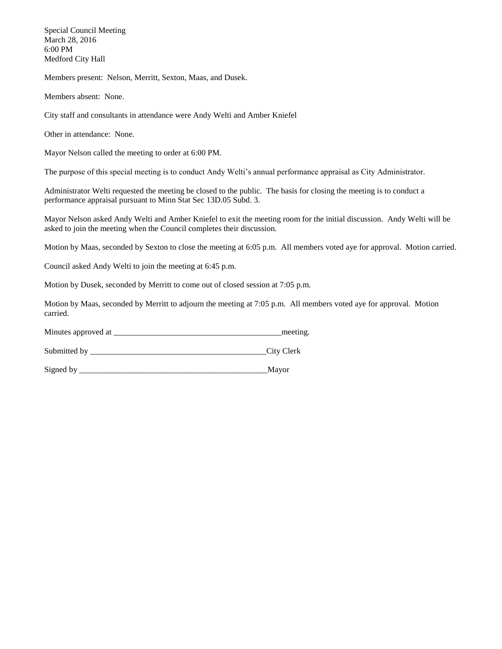Special Council Meeting March 28, 2016 6:00 PM Medford City Hall

Members present: Nelson, Merritt, Sexton, Maas, and Dusek.

Members absent: None.

City staff and consultants in attendance were Andy Welti and Amber Kniefel

Other in attendance: None.

Mayor Nelson called the meeting to order at 6:00 PM.

The purpose of this special meeting is to conduct Andy Welti's annual performance appraisal as City Administrator.

Administrator Welti requested the meeting be closed to the public. The basis for closing the meeting is to conduct a performance appraisal pursuant to Minn Stat Sec 13D.05 Subd. 3.

Mayor Nelson asked Andy Welti and Amber Kniefel to exit the meeting room for the initial discussion. Andy Welti will be asked to join the meeting when the Council completes their discussion.

Motion by Maas, seconded by Sexton to close the meeting at 6:05 p.m. All members voted aye for approval. Motion carried.

Council asked Andy Welti to join the meeting at 6:45 p.m.

Motion by Dusek, seconded by Merritt to come out of closed session at 7:05 p.m.

Motion by Maas, seconded by Merritt to adjourn the meeting at 7:05 p.m. All members voted aye for approval. Motion carried.

Minutes approved at \_\_\_\_\_\_\_\_\_\_\_\_\_\_\_\_\_\_\_\_\_\_\_\_\_\_\_\_\_\_\_\_\_\_\_\_\_\_\_\_\_meeting.

Submitted by \_\_\_\_\_\_\_\_\_\_\_\_\_\_\_\_\_\_\_\_\_\_\_\_\_\_\_\_\_\_\_\_\_\_\_\_\_\_\_\_\_\_\_City Clerk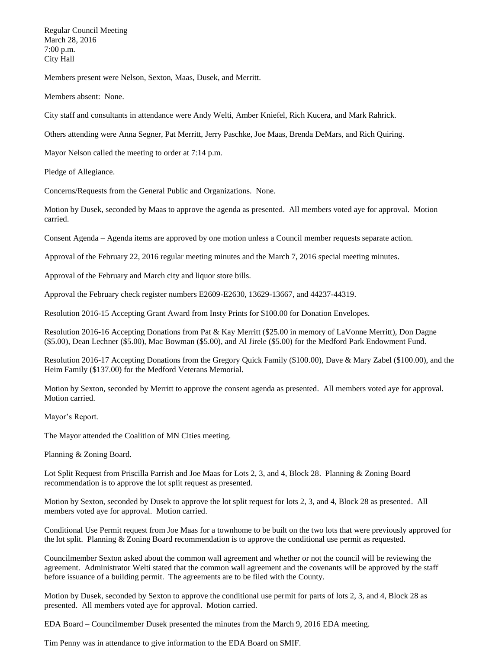Regular Council Meeting March 28, 2016 7:00 p.m. City Hall

Members present were Nelson, Sexton, Maas, Dusek, and Merritt.

Members absent: None.

City staff and consultants in attendance were Andy Welti, Amber Kniefel, Rich Kucera, and Mark Rahrick.

Others attending were Anna Segner, Pat Merritt, Jerry Paschke, Joe Maas, Brenda DeMars, and Rich Quiring.

Mayor Nelson called the meeting to order at 7:14 p.m.

Pledge of Allegiance.

Concerns/Requests from the General Public and Organizations. None.

Motion by Dusek, seconded by Maas to approve the agenda as presented. All members voted aye for approval. Motion carried.

Consent Agenda – Agenda items are approved by one motion unless a Council member requests separate action.

Approval of the February 22, 2016 regular meeting minutes and the March 7, 2016 special meeting minutes.

Approval of the February and March city and liquor store bills.

Approval the February check register numbers E2609-E2630, 13629-13667, and 44237-44319.

Resolution 2016-15 Accepting Grant Award from Insty Prints for \$100.00 for Donation Envelopes.

Resolution 2016-16 Accepting Donations from Pat & Kay Merritt (\$25.00 in memory of LaVonne Merritt), Don Dagne (\$5.00), Dean Lechner (\$5.00), Mac Bowman (\$5.00), and Al Jirele (\$5.00) for the Medford Park Endowment Fund.

Resolution 2016-17 Accepting Donations from the Gregory Quick Family (\$100.00), Dave & Mary Zabel (\$100.00), and the Heim Family (\$137.00) for the Medford Veterans Memorial.

Motion by Sexton, seconded by Merritt to approve the consent agenda as presented. All members voted aye for approval. Motion carried.

Mayor's Report.

The Mayor attended the Coalition of MN Cities meeting.

Planning & Zoning Board.

Lot Split Request from Priscilla Parrish and Joe Maas for Lots 2, 3, and 4, Block 28. Planning & Zoning Board recommendation is to approve the lot split request as presented.

Motion by Sexton, seconded by Dusek to approve the lot split request for lots 2, 3, and 4, Block 28 as presented. All members voted aye for approval. Motion carried.

Conditional Use Permit request from Joe Maas for a townhome to be built on the two lots that were previously approved for the lot split. Planning & Zoning Board recommendation is to approve the conditional use permit as requested.

Councilmember Sexton asked about the common wall agreement and whether or not the council will be reviewing the agreement. Administrator Welti stated that the common wall agreement and the covenants will be approved by the staff before issuance of a building permit. The agreements are to be filed with the County.

Motion by Dusek, seconded by Sexton to approve the conditional use permit for parts of lots 2, 3, and 4, Block 28 as presented. All members voted aye for approval. Motion carried.

EDA Board – Councilmember Dusek presented the minutes from the March 9, 2016 EDA meeting.

Tim Penny was in attendance to give information to the EDA Board on SMIF.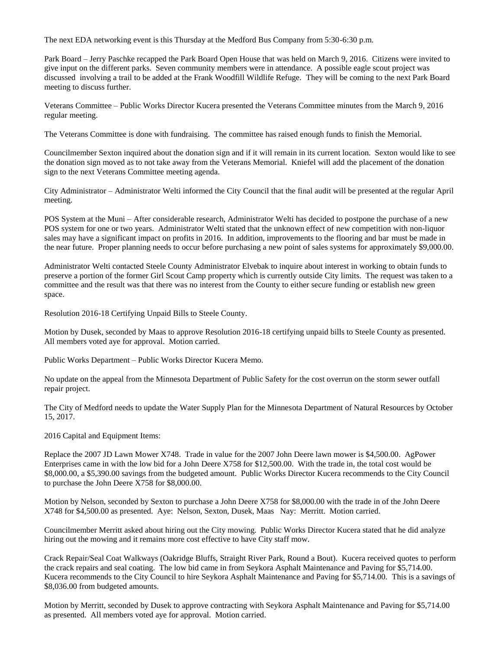The next EDA networking event is this Thursday at the Medford Bus Company from 5:30-6:30 p.m.

Park Board – Jerry Paschke recapped the Park Board Open House that was held on March 9, 2016. Citizens were invited to give input on the different parks. Seven community members were in attendance. A possible eagle scout project was discussed involving a trail to be added at the Frank Woodfill Wildlife Refuge. They will be coming to the next Park Board meeting to discuss further.

Veterans Committee – Public Works Director Kucera presented the Veterans Committee minutes from the March 9, 2016 regular meeting.

The Veterans Committee is done with fundraising. The committee has raised enough funds to finish the Memorial.

Councilmember Sexton inquired about the donation sign and if it will remain in its current location. Sexton would like to see the donation sign moved as to not take away from the Veterans Memorial. Kniefel will add the placement of the donation sign to the next Veterans Committee meeting agenda.

City Administrator – Administrator Welti informed the City Council that the final audit will be presented at the regular April meeting.

POS System at the Muni – After considerable research, Administrator Welti has decided to postpone the purchase of a new POS system for one or two years. Administrator Welti stated that the unknown effect of new competition with non-liquor sales may have a significant impact on profits in 2016. In addition, improvements to the flooring and bar must be made in the near future. Proper planning needs to occur before purchasing a new point of sales systems for approximately \$9,000.00.

Administrator Welti contacted Steele County Administrator Elvebak to inquire about interest in working to obtain funds to preserve a portion of the former Girl Scout Camp property which is currently outside City limits. The request was taken to a committee and the result was that there was no interest from the County to either secure funding or establish new green space.

Resolution 2016-18 Certifying Unpaid Bills to Steele County.

Motion by Dusek, seconded by Maas to approve Resolution 2016-18 certifying unpaid bills to Steele County as presented. All members voted aye for approval. Motion carried.

Public Works Department – Public Works Director Kucera Memo.

No update on the appeal from the Minnesota Department of Public Safety for the cost overrun on the storm sewer outfall repair project.

The City of Medford needs to update the Water Supply Plan for the Minnesota Department of Natural Resources by October 15, 2017.

2016 Capital and Equipment Items:

Replace the 2007 JD Lawn Mower X748. Trade in value for the 2007 John Deere lawn mower is \$4,500.00. AgPower Enterprises came in with the low bid for a John Deere X758 for \$12,500.00. With the trade in, the total cost would be \$8,000.00, a \$5,390.00 savings from the budgeted amount. Public Works Director Kucera recommends to the City Council to purchase the John Deere X758 for \$8,000.00.

Motion by Nelson, seconded by Sexton to purchase a John Deere X758 for \$8,000.00 with the trade in of the John Deere X748 for \$4,500.00 as presented. Aye: Nelson, Sexton, Dusek, Maas Nay: Merritt. Motion carried.

Councilmember Merritt asked about hiring out the City mowing. Public Works Director Kucera stated that he did analyze hiring out the mowing and it remains more cost effective to have City staff mow.

Crack Repair/Seal Coat Walkways (Oakridge Bluffs, Straight River Park, Round a Bout). Kucera received quotes to perform the crack repairs and seal coating. The low bid came in from Seykora Asphalt Maintenance and Paving for \$5,714.00. Kucera recommends to the City Council to hire Seykora Asphalt Maintenance and Paving for \$5,714.00. This is a savings of \$8,036.00 from budgeted amounts.

Motion by Merritt, seconded by Dusek to approve contracting with Seykora Asphalt Maintenance and Paving for \$5,714.00 as presented. All members voted aye for approval. Motion carried.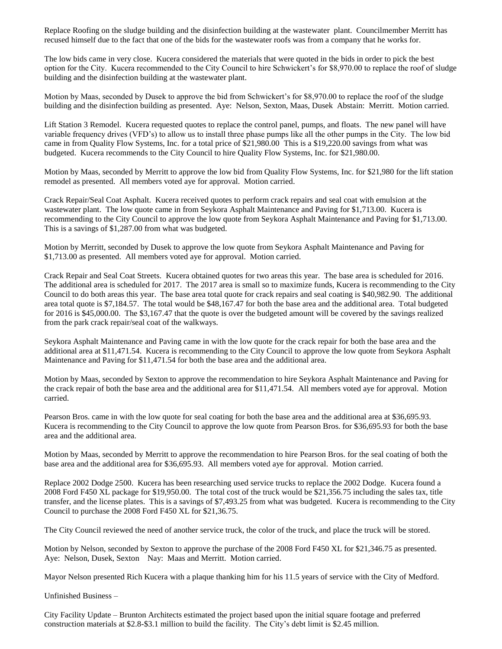Replace Roofing on the sludge building and the disinfection building at the wastewater plant. Councilmember Merritt has recused himself due to the fact that one of the bids for the wastewater roofs was from a company that he works for.

The low bids came in very close. Kucera considered the materials that were quoted in the bids in order to pick the best option for the City. Kucera recommended to the City Council to hire Schwickert's for \$8,970.00 to replace the roof of sludge building and the disinfection building at the wastewater plant.

Motion by Maas, seconded by Dusek to approve the bid from Schwickert's for \$8,970.00 to replace the roof of the sludge building and the disinfection building as presented. Aye: Nelson, Sexton, Maas, Dusek Abstain: Merritt. Motion carried.

Lift Station 3 Remodel. Kucera requested quotes to replace the control panel, pumps, and floats. The new panel will have variable frequency drives (VFD's) to allow us to install three phase pumps like all the other pumps in the City. The low bid came in from Quality Flow Systems, Inc. for a total price of \$21,980.00 This is a \$19,220.00 savings from what was budgeted. Kucera recommends to the City Council to hire Quality Flow Systems, Inc. for \$21,980.00.

Motion by Maas, seconded by Merritt to approve the low bid from Quality Flow Systems, Inc. for \$21,980 for the lift station remodel as presented. All members voted aye for approval. Motion carried.

Crack Repair/Seal Coat Asphalt. Kucera received quotes to perform crack repairs and seal coat with emulsion at the wastewater plant. The low quote came in from Seykora Asphalt Maintenance and Paving for \$1,713.00. Kucera is recommending to the City Council to approve the low quote from Seykora Asphalt Maintenance and Paving for \$1,713.00. This is a savings of \$1,287.00 from what was budgeted.

Motion by Merritt, seconded by Dusek to approve the low quote from Seykora Asphalt Maintenance and Paving for \$1,713.00 as presented. All members voted aye for approval. Motion carried.

Crack Repair and Seal Coat Streets. Kucera obtained quotes for two areas this year. The base area is scheduled for 2016. The additional area is scheduled for 2017. The 2017 area is small so to maximize funds, Kucera is recommending to the City Council to do both areas this year. The base area total quote for crack repairs and seal coating is \$40,982.90. The additional area total quote is \$7,184.57. The total would be \$48,167.47 for both the base area and the additional area. Total budgeted for 2016 is \$45,000.00. The \$3,167.47 that the quote is over the budgeted amount will be covered by the savings realized from the park crack repair/seal coat of the walkways.

Seykora Asphalt Maintenance and Paving came in with the low quote for the crack repair for both the base area and the additional area at \$11,471.54. Kucera is recommending to the City Council to approve the low quote from Seykora Asphalt Maintenance and Paving for \$11,471.54 for both the base area and the additional area.

Motion by Maas, seconded by Sexton to approve the recommendation to hire Seykora Asphalt Maintenance and Paving for the crack repair of both the base area and the additional area for \$11,471.54. All members voted aye for approval. Motion carried.

Pearson Bros. came in with the low quote for seal coating for both the base area and the additional area at \$36,695.93. Kucera is recommending to the City Council to approve the low quote from Pearson Bros. for \$36,695.93 for both the base area and the additional area.

Motion by Maas, seconded by Merritt to approve the recommendation to hire Pearson Bros. for the seal coating of both the base area and the additional area for \$36,695.93. All members voted aye for approval. Motion carried.

Replace 2002 Dodge 2500. Kucera has been researching used service trucks to replace the 2002 Dodge. Kucera found a 2008 Ford F450 XL package for \$19,950.00. The total cost of the truck would be \$21,356.75 including the sales tax, title transfer, and the license plates. This is a savings of \$7,493.25 from what was budgeted. Kucera is recommending to the City Council to purchase the 2008 Ford F450 XL for \$21,36.75.

The City Council reviewed the need of another service truck, the color of the truck, and place the truck will be stored.

Motion by Nelson, seconded by Sexton to approve the purchase of the 2008 Ford F450 XL for \$21,346.75 as presented. Aye: Nelson, Dusek, Sexton Nay: Maas and Merritt. Motion carried.

Mayor Nelson presented Rich Kucera with a plaque thanking him for his 11.5 years of service with the City of Medford.

Unfinished Business –

City Facility Update – Brunton Architects estimated the project based upon the initial square footage and preferred construction materials at \$2.8-\$3.1 million to build the facility. The City's debt limit is \$2.45 million.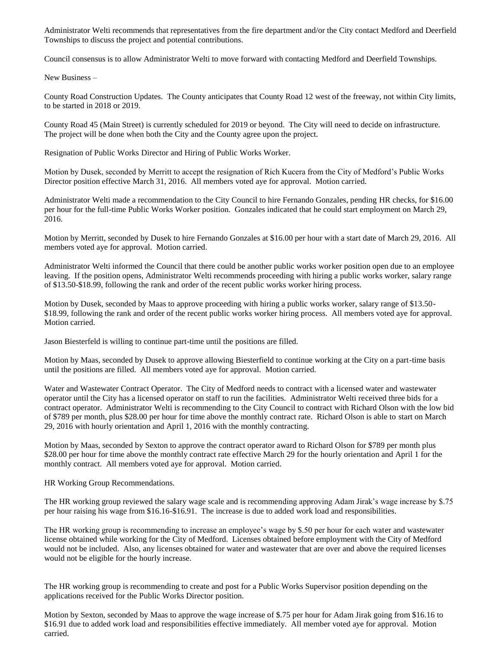Administrator Welti recommends that representatives from the fire department and/or the City contact Medford and Deerfield Townships to discuss the project and potential contributions.

Council consensus is to allow Administrator Welti to move forward with contacting Medford and Deerfield Townships.

New Business –

County Road Construction Updates. The County anticipates that County Road 12 west of the freeway, not within City limits, to be started in 2018 or 2019.

County Road 45 (Main Street) is currently scheduled for 2019 or beyond. The City will need to decide on infrastructure. The project will be done when both the City and the County agree upon the project.

Resignation of Public Works Director and Hiring of Public Works Worker.

Motion by Dusek, seconded by Merritt to accept the resignation of Rich Kucera from the City of Medford's Public Works Director position effective March 31, 2016. All members voted aye for approval. Motion carried.

Administrator Welti made a recommendation to the City Council to hire Fernando Gonzales, pending HR checks, for \$16.00 per hour for the full-time Public Works Worker position. Gonzales indicated that he could start employment on March 29, 2016.

Motion by Merritt, seconded by Dusek to hire Fernando Gonzales at \$16.00 per hour with a start date of March 29, 2016. All members voted aye for approval. Motion carried.

Administrator Welti informed the Council that there could be another public works worker position open due to an employee leaving. If the position opens, Administrator Welti recommends proceeding with hiring a public works worker, salary range of \$13.50-\$18.99, following the rank and order of the recent public works worker hiring process.

Motion by Dusek, seconded by Maas to approve proceeding with hiring a public works worker, salary range of \$13.50- \$18.99, following the rank and order of the recent public works worker hiring process. All members voted aye for approval. Motion carried.

Jason Biesterfeld is willing to continue part-time until the positions are filled.

Motion by Maas, seconded by Dusek to approve allowing Biesterfield to continue working at the City on a part-time basis until the positions are filled. All members voted aye for approval. Motion carried.

Water and Wastewater Contract Operator. The City of Medford needs to contract with a licensed water and wastewater operator until the City has a licensed operator on staff to run the facilities. Administrator Welti received three bids for a contract operator. Administrator Welti is recommending to the City Council to contract with Richard Olson with the low bid of \$789 per month, plus \$28.00 per hour for time above the monthly contract rate. Richard Olson is able to start on March 29, 2016 with hourly orientation and April 1, 2016 with the monthly contracting.

Motion by Maas, seconded by Sexton to approve the contract operator award to Richard Olson for \$789 per month plus \$28.00 per hour for time above the monthly contract rate effective March 29 for the hourly orientation and April 1 for the monthly contract. All members voted aye for approval. Motion carried.

HR Working Group Recommendations.

The HR working group reviewed the salary wage scale and is recommending approving Adam Jirak's wage increase by \$.75 per hour raising his wage from \$16.16-\$16.91. The increase is due to added work load and responsibilities.

The HR working group is recommending to increase an employee's wage by \$.50 per hour for each water and wastewater license obtained while working for the City of Medford. Licenses obtained before employment with the City of Medford would not be included. Also, any licenses obtained for water and wastewater that are over and above the required licenses would not be eligible for the hourly increase.

The HR working group is recommending to create and post for a Public Works Supervisor position depending on the applications received for the Public Works Director position.

Motion by Sexton, seconded by Maas to approve the wage increase of \$.75 per hour for Adam Jirak going from \$16.16 to \$16.91 due to added work load and responsibilities effective immediately. All member voted aye for approval. Motion carried.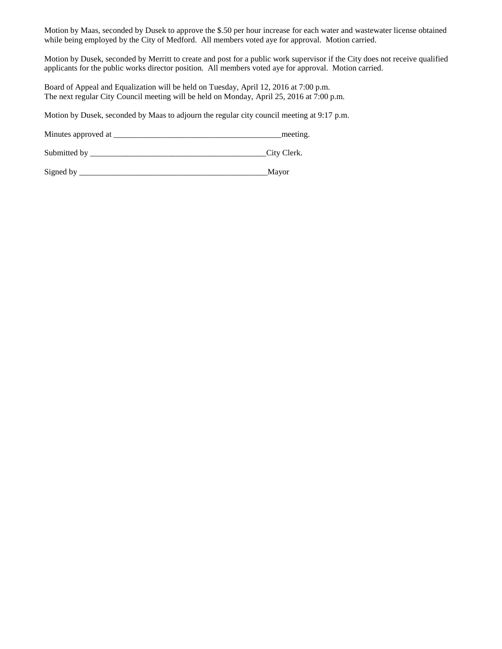Motion by Maas, seconded by Dusek to approve the \$.50 per hour increase for each water and wastewater license obtained while being employed by the City of Medford. All members voted aye for approval. Motion carried.

Motion by Dusek, seconded by Merritt to create and post for a public work supervisor if the City does not receive qualified applicants for the public works director position. All members voted aye for approval. Motion carried.

Board of Appeal and Equalization will be held on Tuesday, April 12, 2016 at 7:00 p.m. The next regular City Council meeting will be held on Monday, April 25, 2016 at 7:00 p.m.

Motion by Dusek, seconded by Maas to adjourn the regular city council meeting at 9:17 p.m.

Minutes approved at \_\_\_\_\_\_\_\_\_\_\_\_\_\_\_\_\_\_\_\_\_\_\_\_\_\_\_\_\_\_\_\_\_\_\_\_\_\_\_\_\_meeting.

Submitted by \_\_\_\_\_\_\_\_\_\_\_\_\_\_\_\_\_\_\_\_\_\_\_\_\_\_\_\_\_\_\_\_\_\_\_\_\_\_\_\_\_\_\_City Clerk.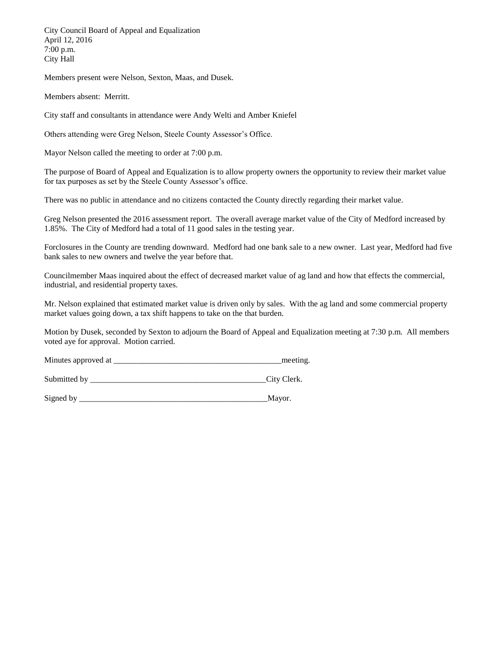City Council Board of Appeal and Equalization April 12, 2016 7:00 p.m. City Hall

Members present were Nelson, Sexton, Maas, and Dusek.

Members absent: Merritt.

City staff and consultants in attendance were Andy Welti and Amber Kniefel

Others attending were Greg Nelson, Steele County Assessor's Office.

Mayor Nelson called the meeting to order at 7:00 p.m.

The purpose of Board of Appeal and Equalization is to allow property owners the opportunity to review their market value for tax purposes as set by the Steele County Assessor's office.

There was no public in attendance and no citizens contacted the County directly regarding their market value.

Greg Nelson presented the 2016 assessment report. The overall average market value of the City of Medford increased by 1.85%. The City of Medford had a total of 11 good sales in the testing year.

Forclosures in the County are trending downward. Medford had one bank sale to a new owner. Last year, Medford had five bank sales to new owners and twelve the year before that.

Councilmember Maas inquired about the effect of decreased market value of ag land and how that effects the commercial, industrial, and residential property taxes.

Mr. Nelson explained that estimated market value is driven only by sales. With the ag land and some commercial property market values going down, a tax shift happens to take on the that burden.

Motion by Dusek, seconded by Sexton to adjourn the Board of Appeal and Equalization meeting at 7:30 p.m. All members voted aye for approval. Motion carried.

Minutes approved at \_\_\_\_\_\_\_\_\_\_\_\_\_\_\_\_\_\_\_\_\_\_\_\_\_\_\_\_\_\_\_\_\_\_\_\_\_\_\_\_\_meeting.

Submitted by \_\_\_\_\_\_\_\_\_\_\_\_\_\_\_\_\_\_\_\_\_\_\_\_\_\_\_\_\_\_\_\_\_\_\_\_\_\_\_\_\_\_\_City Clerk.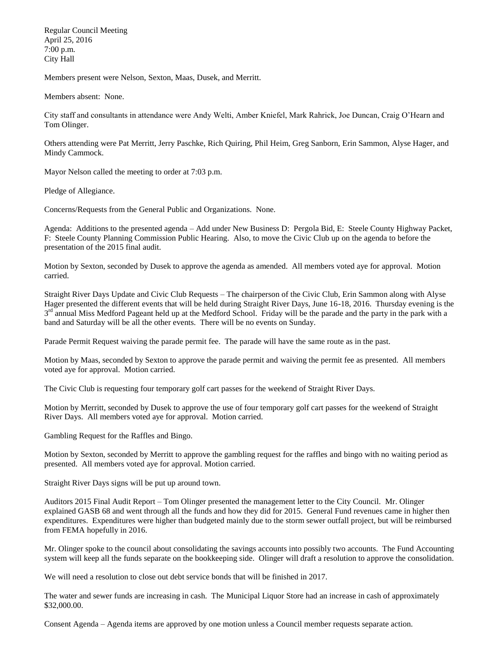Regular Council Meeting April 25, 2016 7:00 p.m. City Hall

Members present were Nelson, Sexton, Maas, Dusek, and Merritt.

Members absent: None.

City staff and consultants in attendance were Andy Welti, Amber Kniefel, Mark Rahrick, Joe Duncan, Craig O'Hearn and Tom Olinger.

Others attending were Pat Merritt, Jerry Paschke, Rich Quiring, Phil Heim, Greg Sanborn, Erin Sammon, Alyse Hager, and Mindy Cammock.

Mayor Nelson called the meeting to order at 7:03 p.m.

Pledge of Allegiance.

Concerns/Requests from the General Public and Organizations. None.

Agenda: Additions to the presented agenda – Add under New Business D: Pergola Bid, E: Steele County Highway Packet, F: Steele County Planning Commission Public Hearing. Also, to move the Civic Club up on the agenda to before the presentation of the 2015 final audit.

Motion by Sexton, seconded by Dusek to approve the agenda as amended. All members voted aye for approval. Motion carried.

Straight River Days Update and Civic Club Requests – The chairperson of the Civic Club, Erin Sammon along with Alyse Hager presented the different events that will be held during Straight River Days, June 16-18, 2016. Thursday evening is the 3<sup>rd</sup> annual Miss Medford Pageant held up at the Medford School. Friday will be the parade and the party in the park with a band and Saturday will be all the other events. There will be no events on Sunday.

Parade Permit Request waiving the parade permit fee. The parade will have the same route as in the past.

Motion by Maas, seconded by Sexton to approve the parade permit and waiving the permit fee as presented. All members voted aye for approval. Motion carried.

The Civic Club is requesting four temporary golf cart passes for the weekend of Straight River Days.

Motion by Merritt, seconded by Dusek to approve the use of four temporary golf cart passes for the weekend of Straight River Days. All members voted aye for approval. Motion carried.

Gambling Request for the Raffles and Bingo.

Motion by Sexton, seconded by Merritt to approve the gambling request for the raffles and bingo with no waiting period as presented. All members voted aye for approval. Motion carried.

Straight River Days signs will be put up around town.

Auditors 2015 Final Audit Report – Tom Olinger presented the management letter to the City Council. Mr. Olinger explained GASB 68 and went through all the funds and how they did for 2015. General Fund revenues came in higher then expenditures. Expenditures were higher than budgeted mainly due to the storm sewer outfall project, but will be reimbursed from FEMA hopefully in 2016.

Mr. Olinger spoke to the council about consolidating the savings accounts into possibly two accounts. The Fund Accounting system will keep all the funds separate on the bookkeeping side. Olinger will draft a resolution to approve the consolidation.

We will need a resolution to close out debt service bonds that will be finished in 2017.

The water and sewer funds are increasing in cash. The Municipal Liquor Store had an increase in cash of approximately \$32,000.00.

Consent Agenda – Agenda items are approved by one motion unless a Council member requests separate action.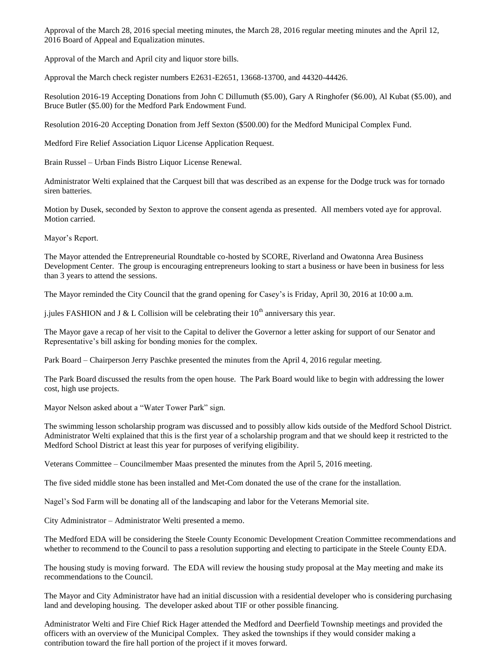Approval of the March 28, 2016 special meeting minutes, the March 28, 2016 regular meeting minutes and the April 12, 2016 Board of Appeal and Equalization minutes.

Approval of the March and April city and liquor store bills.

Approval the March check register numbers E2631-E2651, 13668-13700, and 44320-44426.

Resolution 2016-19 Accepting Donations from John C Dillumuth (\$5.00), Gary A Ringhofer (\$6.00), Al Kubat (\$5.00), and Bruce Butler (\$5.00) for the Medford Park Endowment Fund.

Resolution 2016-20 Accepting Donation from Jeff Sexton (\$500.00) for the Medford Municipal Complex Fund.

Medford Fire Relief Association Liquor License Application Request.

Brain Russel – Urban Finds Bistro Liquor License Renewal.

Administrator Welti explained that the Carquest bill that was described as an expense for the Dodge truck was for tornado siren batteries.

Motion by Dusek, seconded by Sexton to approve the consent agenda as presented. All members voted aye for approval. Motion carried.

Mayor's Report.

The Mayor attended the Entrepreneurial Roundtable co-hosted by SCORE, Riverland and Owatonna Area Business Development Center. The group is encouraging entrepreneurs looking to start a business or have been in business for less than 3 years to attend the sessions.

The Mayor reminded the City Council that the grand opening for Casey's is Friday, April 30, 2016 at 10:00 a.m.

j.jules FASHION and J & L Collision will be celebrating their  $10<sup>th</sup>$  anniversary this year.

The Mayor gave a recap of her visit to the Capital to deliver the Governor a letter asking for support of our Senator and Representative's bill asking for bonding monies for the complex.

Park Board – Chairperson Jerry Paschke presented the minutes from the April 4, 2016 regular meeting.

The Park Board discussed the results from the open house. The Park Board would like to begin with addressing the lower cost, high use projects.

Mayor Nelson asked about a "Water Tower Park" sign.

The swimming lesson scholarship program was discussed and to possibly allow kids outside of the Medford School District. Administrator Welti explained that this is the first year of a scholarship program and that we should keep it restricted to the Medford School District at least this year for purposes of verifying eligibility.

Veterans Committee – Councilmember Maas presented the minutes from the April 5, 2016 meeting.

The five sided middle stone has been installed and Met-Com donated the use of the crane for the installation.

Nagel's Sod Farm will be donating all of the landscaping and labor for the Veterans Memorial site.

City Administrator – Administrator Welti presented a memo.

The Medford EDA will be considering the Steele County Economic Development Creation Committee recommendations and whether to recommend to the Council to pass a resolution supporting and electing to participate in the Steele County EDA.

The housing study is moving forward. The EDA will review the housing study proposal at the May meeting and make its recommendations to the Council.

The Mayor and City Administrator have had an initial discussion with a residential developer who is considering purchasing land and developing housing. The developer asked about TIF or other possible financing.

Administrator Welti and Fire Chief Rick Hager attended the Medford and Deerfield Township meetings and provided the officers with an overview of the Municipal Complex. They asked the townships if they would consider making a contribution toward the fire hall portion of the project if it moves forward.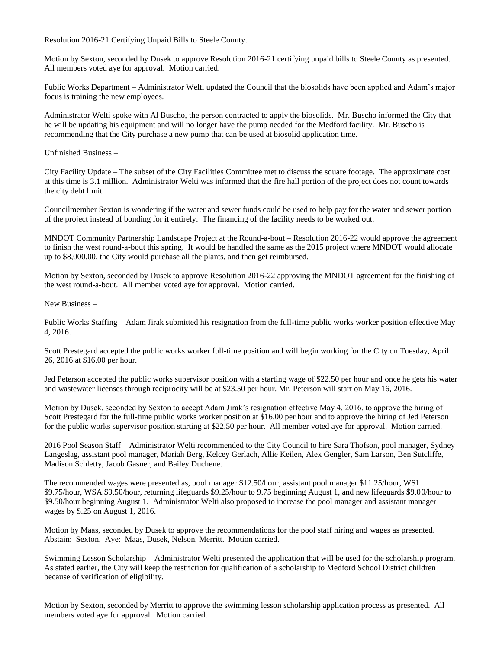Resolution 2016-21 Certifying Unpaid Bills to Steele County.

Motion by Sexton, seconded by Dusek to approve Resolution 2016-21 certifying unpaid bills to Steele County as presented. All members voted aye for approval. Motion carried.

Public Works Department – Administrator Welti updated the Council that the biosolids have been applied and Adam's major focus is training the new employees.

Administrator Welti spoke with Al Buscho, the person contracted to apply the biosolids. Mr. Buscho informed the City that he will be updating his equipment and will no longer have the pump needed for the Medford facility. Mr. Buscho is recommending that the City purchase a new pump that can be used at biosolid application time.

Unfinished Business –

City Facility Update – The subset of the City Facilities Committee met to discuss the square footage. The approximate cost at this time is 3.1 million. Administrator Welti was informed that the fire hall portion of the project does not count towards the city debt limit.

Councilmember Sexton is wondering if the water and sewer funds could be used to help pay for the water and sewer portion of the project instead of bonding for it entirely. The financing of the facility needs to be worked out.

MNDOT Community Partnership Landscape Project at the Round-a-bout – Resolution 2016-22 would approve the agreement to finish the west round-a-bout this spring. It would be handled the same as the 2015 project where MNDOT would allocate up to \$8,000.00, the City would purchase all the plants, and then get reimbursed.

Motion by Sexton, seconded by Dusek to approve Resolution 2016-22 approving the MNDOT agreement for the finishing of the west round-a-bout. All member voted aye for approval. Motion carried.

New Business –

Public Works Staffing – Adam Jirak submitted his resignation from the full-time public works worker position effective May 4, 2016.

Scott Prestegard accepted the public works worker full-time position and will begin working for the City on Tuesday, April 26, 2016 at \$16.00 per hour.

Jed Peterson accepted the public works supervisor position with a starting wage of \$22.50 per hour and once he gets his water and wastewater licenses through reciprocity will be at \$23.50 per hour. Mr. Peterson will start on May 16, 2016.

Motion by Dusek, seconded by Sexton to accept Adam Jirak's resignation effective May 4, 2016, to approve the hiring of Scott Prestegard for the full-time public works worker position at \$16.00 per hour and to approve the hiring of Jed Peterson for the public works supervisor position starting at \$22.50 per hour. All member voted aye for approval. Motion carried.

2016 Pool Season Staff – Administrator Welti recommended to the City Council to hire Sara Thofson, pool manager, Sydney Langeslag, assistant pool manager, Mariah Berg, Kelcey Gerlach, Allie Keilen, Alex Gengler, Sam Larson, Ben Sutcliffe, Madison Schletty, Jacob Gasner, and Bailey Duchene.

The recommended wages were presented as, pool manager \$12.50/hour, assistant pool manager \$11.25/hour, WSI \$9.75/hour, WSA \$9.50/hour, returning lifeguards \$9.25/hour to 9.75 beginning August 1, and new lifeguards \$9.00/hour to \$9.50/hour beginning August 1. Administrator Welti also proposed to increase the pool manager and assistant manager wages by \$.25 on August 1, 2016.

Motion by Maas, seconded by Dusek to approve the recommendations for the pool staff hiring and wages as presented. Abstain: Sexton. Aye: Maas, Dusek, Nelson, Merritt. Motion carried.

Swimming Lesson Scholarship – Administrator Welti presented the application that will be used for the scholarship program. As stated earlier, the City will keep the restriction for qualification of a scholarship to Medford School District children because of verification of eligibility.

Motion by Sexton, seconded by Merritt to approve the swimming lesson scholarship application process as presented. All members voted aye for approval. Motion carried.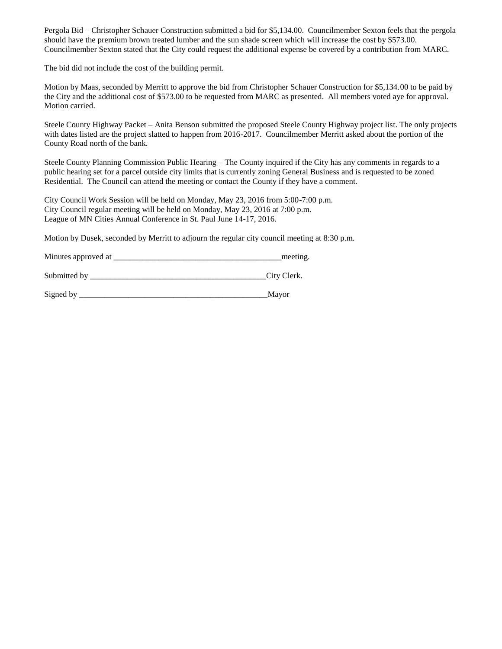Pergola Bid – Christopher Schauer Construction submitted a bid for \$5,134.00. Councilmember Sexton feels that the pergola should have the premium brown treated lumber and the sun shade screen which will increase the cost by \$573.00. Councilmember Sexton stated that the City could request the additional expense be covered by a contribution from MARC.

The bid did not include the cost of the building permit.

Motion by Maas, seconded by Merritt to approve the bid from Christopher Schauer Construction for \$5,134.00 to be paid by the City and the additional cost of \$573.00 to be requested from MARC as presented. All members voted aye for approval. Motion carried.

Steele County Highway Packet – Anita Benson submitted the proposed Steele County Highway project list. The only projects with dates listed are the project slatted to happen from 2016-2017. Councilmember Merritt asked about the portion of the County Road north of the bank.

Steele County Planning Commission Public Hearing – The County inquired if the City has any comments in regards to a public hearing set for a parcel outside city limits that is currently zoning General Business and is requested to be zoned Residential. The Council can attend the meeting or contact the County if they have a comment.

City Council Work Session will be held on Monday, May 23, 2016 from 5:00-7:00 p.m. City Council regular meeting will be held on Monday, May 23, 2016 at 7:00 p.m. League of MN Cities Annual Conference in St. Paul June 14-17, 2016.

Motion by Dusek, seconded by Merritt to adjourn the regular city council meeting at 8:30 p.m.

Minutes approved at \_\_\_\_\_\_\_\_\_\_\_\_\_\_\_\_\_\_\_\_\_\_\_\_\_\_\_\_\_\_\_\_\_\_\_\_\_\_\_\_\_meeting.

Submitted by \_\_\_\_\_\_\_\_\_\_\_\_\_\_\_\_\_\_\_\_\_\_\_\_\_\_\_\_\_\_\_\_\_\_\_\_\_\_\_\_\_\_\_City Clerk.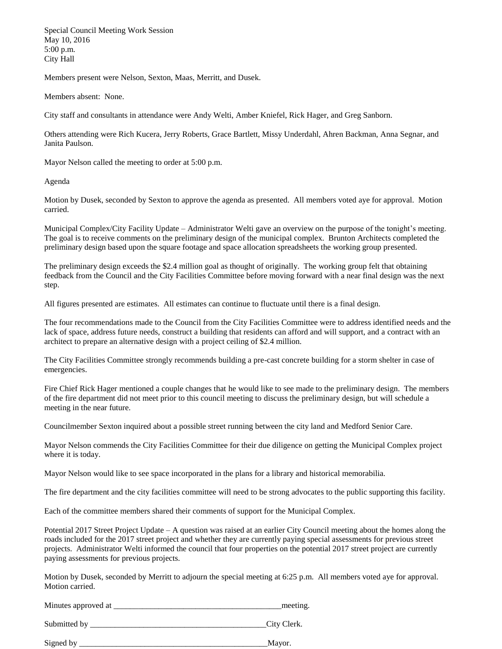Special Council Meeting Work Session May 10, 2016 5:00 p.m. City Hall

Members present were Nelson, Sexton, Maas, Merritt, and Dusek.

Members absent: None.

City staff and consultants in attendance were Andy Welti, Amber Kniefel, Rick Hager, and Greg Sanborn.

Others attending were Rich Kucera, Jerry Roberts, Grace Bartlett, Missy Underdahl, Ahren Backman, Anna Segnar, and Janita Paulson.

Mayor Nelson called the meeting to order at 5:00 p.m.

Agenda

Motion by Dusek, seconded by Sexton to approve the agenda as presented. All members voted aye for approval. Motion carried.

Municipal Complex/City Facility Update – Administrator Welti gave an overview on the purpose of the tonight's meeting. The goal is to receive comments on the preliminary design of the municipal complex. Brunton Architects completed the preliminary design based upon the square footage and space allocation spreadsheets the working group presented.

The preliminary design exceeds the \$2.4 million goal as thought of originally. The working group felt that obtaining feedback from the Council and the City Facilities Committee before moving forward with a near final design was the next step.

All figures presented are estimates. All estimates can continue to fluctuate until there is a final design.

The four recommendations made to the Council from the City Facilities Committee were to address identified needs and the lack of space, address future needs, construct a building that residents can afford and will support, and a contract with an architect to prepare an alternative design with a project ceiling of \$2.4 million.

The City Facilities Committee strongly recommends building a pre-cast concrete building for a storm shelter in case of emergencies.

Fire Chief Rick Hager mentioned a couple changes that he would like to see made to the preliminary design. The members of the fire department did not meet prior to this council meeting to discuss the preliminary design, but will schedule a meeting in the near future.

Councilmember Sexton inquired about a possible street running between the city land and Medford Senior Care.

Mayor Nelson commends the City Facilities Committee for their due diligence on getting the Municipal Complex project where it is today.

Mayor Nelson would like to see space incorporated in the plans for a library and historical memorabilia.

The fire department and the city facilities committee will need to be strong advocates to the public supporting this facility.

Each of the committee members shared their comments of support for the Municipal Complex.

Potential 2017 Street Project Update – A question was raised at an earlier City Council meeting about the homes along the roads included for the 2017 street project and whether they are currently paying special assessments for previous street projects. Administrator Welti informed the council that four properties on the potential 2017 street project are currently paying assessments for previous projects.

Motion by Dusek, seconded by Merritt to adjourn the special meeting at 6:25 p.m. All members voted aye for approval. Motion carried.

Minutes approved at  $\Box$ 

Submitted by  $\qquad \qquad \text{City Clark}.$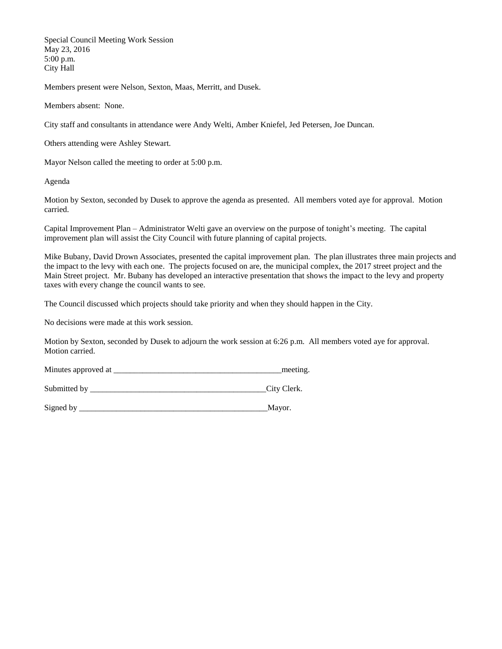Special Council Meeting Work Session May 23, 2016 5:00 p.m. City Hall

Members present were Nelson, Sexton, Maas, Merritt, and Dusek.

Members absent: None.

City staff and consultants in attendance were Andy Welti, Amber Kniefel, Jed Petersen, Joe Duncan.

Others attending were Ashley Stewart.

Mayor Nelson called the meeting to order at 5:00 p.m.

Agenda

Motion by Sexton, seconded by Dusek to approve the agenda as presented. All members voted aye for approval. Motion carried.

Capital Improvement Plan – Administrator Welti gave an overview on the purpose of tonight's meeting. The capital improvement plan will assist the City Council with future planning of capital projects.

Mike Bubany, David Drown Associates, presented the capital improvement plan. The plan illustrates three main projects and the impact to the levy with each one. The projects focused on are, the municipal complex, the 2017 street project and the Main Street project. Mr. Bubany has developed an interactive presentation that shows the impact to the levy and property taxes with every change the council wants to see.

The Council discussed which projects should take priority and when they should happen in the City.

No decisions were made at this work session.

Motion by Sexton, seconded by Dusek to adjourn the work session at 6:26 p.m. All members voted aye for approval. Motion carried.

Minutes approved at \_\_\_\_\_\_\_\_\_\_\_\_\_\_\_\_\_\_\_\_\_\_\_\_\_\_\_\_\_\_\_\_\_\_\_\_\_\_\_\_\_meeting.

Submitted by \_\_\_\_\_\_\_\_\_\_\_\_\_\_\_\_\_\_\_\_\_\_\_\_\_\_\_\_\_\_\_\_\_\_\_\_\_\_\_\_\_\_\_City Clerk.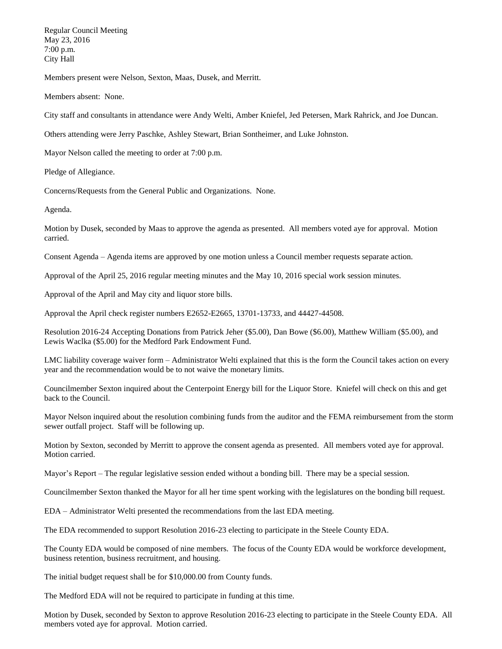Regular Council Meeting May 23, 2016 7:00 p.m. City Hall

Members present were Nelson, Sexton, Maas, Dusek, and Merritt.

Members absent: None.

City staff and consultants in attendance were Andy Welti, Amber Kniefel, Jed Petersen, Mark Rahrick, and Joe Duncan.

Others attending were Jerry Paschke, Ashley Stewart, Brian Sontheimer, and Luke Johnston.

Mayor Nelson called the meeting to order at 7:00 p.m.

Pledge of Allegiance.

Concerns/Requests from the General Public and Organizations. None.

Agenda.

Motion by Dusek, seconded by Maas to approve the agenda as presented. All members voted aye for approval. Motion carried.

Consent Agenda – Agenda items are approved by one motion unless a Council member requests separate action.

Approval of the April 25, 2016 regular meeting minutes and the May 10, 2016 special work session minutes.

Approval of the April and May city and liquor store bills.

Approval the April check register numbers E2652-E2665, 13701-13733, and 44427-44508.

Resolution 2016-24 Accepting Donations from Patrick Jeher (\$5.00), Dan Bowe (\$6.00), Matthew William (\$5.00), and Lewis Waclka (\$5.00) for the Medford Park Endowment Fund.

LMC liability coverage waiver form – Administrator Welti explained that this is the form the Council takes action on every year and the recommendation would be to not waive the monetary limits.

Councilmember Sexton inquired about the Centerpoint Energy bill for the Liquor Store. Kniefel will check on this and get back to the Council.

Mayor Nelson inquired about the resolution combining funds from the auditor and the FEMA reimbursement from the storm sewer outfall project. Staff will be following up.

Motion by Sexton, seconded by Merritt to approve the consent agenda as presented. All members voted aye for approval. Motion carried.

Mayor's Report – The regular legislative session ended without a bonding bill. There may be a special session.

Councilmember Sexton thanked the Mayor for all her time spent working with the legislatures on the bonding bill request.

EDA – Administrator Welti presented the recommendations from the last EDA meeting.

The EDA recommended to support Resolution 2016-23 electing to participate in the Steele County EDA.

The County EDA would be composed of nine members. The focus of the County EDA would be workforce development, business retention, business recruitment, and housing.

The initial budget request shall be for \$10,000.00 from County funds.

The Medford EDA will not be required to participate in funding at this time.

Motion by Dusek, seconded by Sexton to approve Resolution 2016-23 electing to participate in the Steele County EDA. All members voted aye for approval. Motion carried.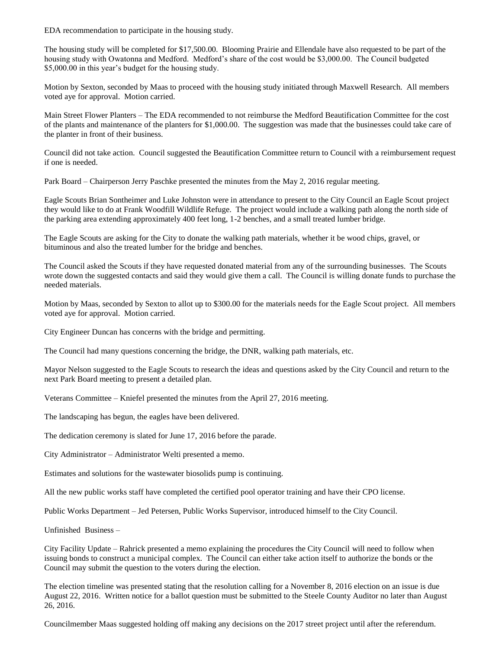EDA recommendation to participate in the housing study.

The housing study will be completed for \$17,500.00. Blooming Prairie and Ellendale have also requested to be part of the housing study with Owatonna and Medford. Medford's share of the cost would be \$3,000.00. The Council budgeted \$5,000.00 in this year's budget for the housing study.

Motion by Sexton, seconded by Maas to proceed with the housing study initiated through Maxwell Research. All members voted aye for approval. Motion carried.

Main Street Flower Planters – The EDA recommended to not reimburse the Medford Beautification Committee for the cost of the plants and maintenance of the planters for \$1,000.00. The suggestion was made that the businesses could take care of the planter in front of their business.

Council did not take action. Council suggested the Beautification Committee return to Council with a reimbursement request if one is needed.

Park Board – Chairperson Jerry Paschke presented the minutes from the May 2, 2016 regular meeting.

Eagle Scouts Brian Sontheimer and Luke Johnston were in attendance to present to the City Council an Eagle Scout project they would like to do at Frank Woodfill Wildlife Refuge. The project would include a walking path along the north side of the parking area extending approximately 400 feet long, 1-2 benches, and a small treated lumber bridge.

The Eagle Scouts are asking for the City to donate the walking path materials, whether it be wood chips, gravel, or bituminous and also the treated lumber for the bridge and benches.

The Council asked the Scouts if they have requested donated material from any of the surrounding businesses. The Scouts wrote down the suggested contacts and said they would give them a call. The Council is willing donate funds to purchase the needed materials.

Motion by Maas, seconded by Sexton to allot up to \$300.00 for the materials needs for the Eagle Scout project. All members voted aye for approval. Motion carried.

City Engineer Duncan has concerns with the bridge and permitting.

The Council had many questions concerning the bridge, the DNR, walking path materials, etc.

Mayor Nelson suggested to the Eagle Scouts to research the ideas and questions asked by the City Council and return to the next Park Board meeting to present a detailed plan.

Veterans Committee – Kniefel presented the minutes from the April 27, 2016 meeting.

The landscaping has begun, the eagles have been delivered.

The dedication ceremony is slated for June 17, 2016 before the parade.

City Administrator – Administrator Welti presented a memo.

Estimates and solutions for the wastewater biosolids pump is continuing.

All the new public works staff have completed the certified pool operator training and have their CPO license.

Public Works Department – Jed Petersen, Public Works Supervisor, introduced himself to the City Council.

Unfinished Business –

City Facility Update – Rahrick presented a memo explaining the procedures the City Council will need to follow when issuing bonds to construct a municipal complex. The Council can either take action itself to authorize the bonds or the Council may submit the question to the voters during the election.

The election timeline was presented stating that the resolution calling for a November 8, 2016 election on an issue is due August 22, 2016. Written notice for a ballot question must be submitted to the Steele County Auditor no later than August 26, 2016.

Councilmember Maas suggested holding off making any decisions on the 2017 street project until after the referendum.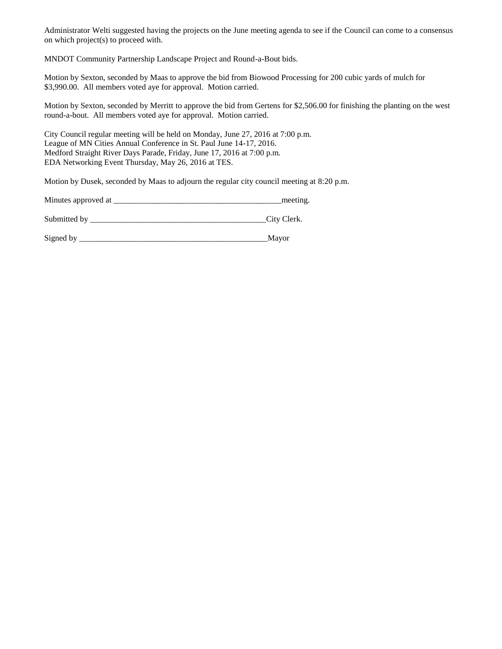Administrator Welti suggested having the projects on the June meeting agenda to see if the Council can come to a consensus on which project(s) to proceed with.

MNDOT Community Partnership Landscape Project and Round-a-Bout bids.

Motion by Sexton, seconded by Maas to approve the bid from Biowood Processing for 200 cubic yards of mulch for \$3,990.00. All members voted aye for approval. Motion carried.

Motion by Sexton, seconded by Merritt to approve the bid from Gertens for \$2,506.00 for finishing the planting on the west round-a-bout. All members voted aye for approval. Motion carried.

City Council regular meeting will be held on Monday, June 27, 2016 at 7:00 p.m. League of MN Cities Annual Conference in St. Paul June 14-17, 2016. Medford Straight River Days Parade, Friday, June 17, 2016 at 7:00 p.m. EDA Networking Event Thursday, May 26, 2016 at TES.

Motion by Dusek, seconded by Maas to adjourn the regular city council meeting at 8:20 p.m.

| Minutes approved at | meeting |
|---------------------|---------|
|                     |         |

Submitted by \_\_\_\_\_\_\_\_\_\_\_\_\_\_\_\_\_\_\_\_\_\_\_\_\_\_\_\_\_\_\_\_\_\_\_\_\_\_\_\_\_\_\_City Clerk.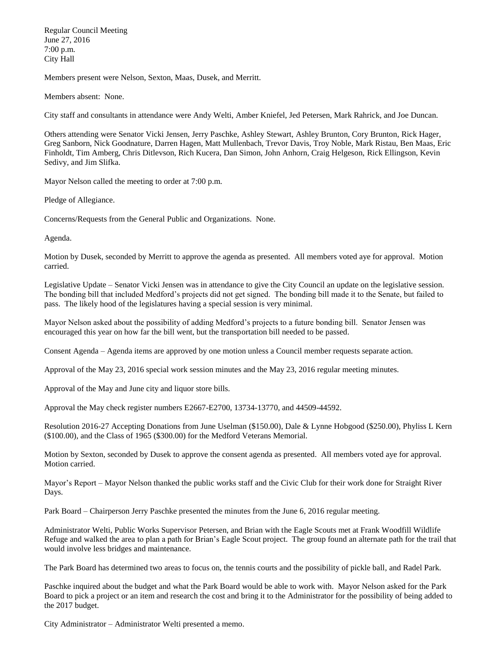Regular Council Meeting June 27, 2016 7:00 p.m. City Hall

Members present were Nelson, Sexton, Maas, Dusek, and Merritt.

Members absent: None.

City staff and consultants in attendance were Andy Welti, Amber Kniefel, Jed Petersen, Mark Rahrick, and Joe Duncan.

Others attending were Senator Vicki Jensen, Jerry Paschke, Ashley Stewart, Ashley Brunton, Cory Brunton, Rick Hager, Greg Sanborn, Nick Goodnature, Darren Hagen, Matt Mullenbach, Trevor Davis, Troy Noble, Mark Ristau, Ben Maas, Eric Finholdt, Tim Amberg, Chris Ditlevson, Rich Kucera, Dan Simon, John Anhorn, Craig Helgeson, Rick Ellingson, Kevin Sedivy, and Jim Slifka.

Mayor Nelson called the meeting to order at 7:00 p.m.

Pledge of Allegiance.

Concerns/Requests from the General Public and Organizations. None.

Agenda.

Motion by Dusek, seconded by Merritt to approve the agenda as presented. All members voted aye for approval. Motion carried.

Legislative Update – Senator Vicki Jensen was in attendance to give the City Council an update on the legislative session. The bonding bill that included Medford's projects did not get signed. The bonding bill made it to the Senate, but failed to pass. The likely hood of the legislatures having a special session is very minimal.

Mayor Nelson asked about the possibility of adding Medford's projects to a future bonding bill. Senator Jensen was encouraged this year on how far the bill went, but the transportation bill needed to be passed.

Consent Agenda – Agenda items are approved by one motion unless a Council member requests separate action.

Approval of the May 23, 2016 special work session minutes and the May 23, 2016 regular meeting minutes.

Approval of the May and June city and liquor store bills.

Approval the May check register numbers E2667-E2700, 13734-13770, and 44509-44592.

Resolution 2016-27 Accepting Donations from June Uselman (\$150.00), Dale & Lynne Hobgood (\$250.00), Phyliss L Kern (\$100.00), and the Class of 1965 (\$300.00) for the Medford Veterans Memorial.

Motion by Sexton, seconded by Dusek to approve the consent agenda as presented. All members voted aye for approval. Motion carried.

Mayor's Report – Mayor Nelson thanked the public works staff and the Civic Club for their work done for Straight River Days.

Park Board – Chairperson Jerry Paschke presented the minutes from the June 6, 2016 regular meeting.

Administrator Welti, Public Works Supervisor Petersen, and Brian with the Eagle Scouts met at Frank Woodfill Wildlife Refuge and walked the area to plan a path for Brian's Eagle Scout project. The group found an alternate path for the trail that would involve less bridges and maintenance.

The Park Board has determined two areas to focus on, the tennis courts and the possibility of pickle ball, and Radel Park.

Paschke inquired about the budget and what the Park Board would be able to work with. Mayor Nelson asked for the Park Board to pick a project or an item and research the cost and bring it to the Administrator for the possibility of being added to the 2017 budget.

City Administrator – Administrator Welti presented a memo.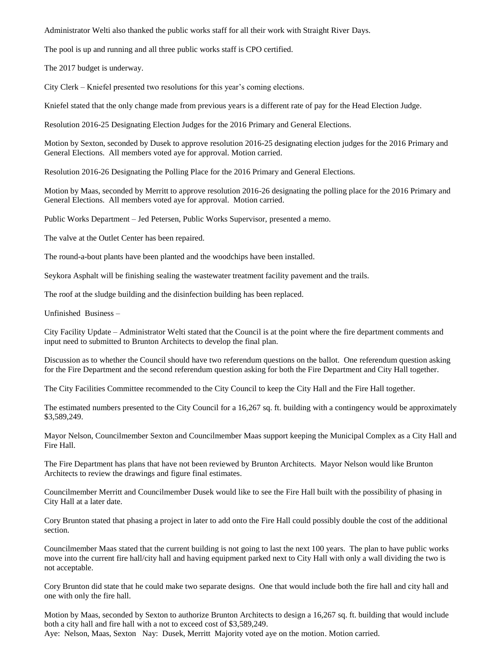Administrator Welti also thanked the public works staff for all their work with Straight River Days.

The pool is up and running and all three public works staff is CPO certified.

The 2017 budget is underway.

City Clerk – Kniefel presented two resolutions for this year's coming elections.

Kniefel stated that the only change made from previous years is a different rate of pay for the Head Election Judge.

Resolution 2016-25 Designating Election Judges for the 2016 Primary and General Elections.

Motion by Sexton, seconded by Dusek to approve resolution 2016-25 designating election judges for the 2016 Primary and General Elections. All members voted aye for approval. Motion carried.

Resolution 2016-26 Designating the Polling Place for the 2016 Primary and General Elections.

Motion by Maas, seconded by Merritt to approve resolution 2016-26 designating the polling place for the 2016 Primary and General Elections. All members voted aye for approval. Motion carried.

Public Works Department – Jed Petersen, Public Works Supervisor, presented a memo.

The valve at the Outlet Center has been repaired.

The round-a-bout plants have been planted and the woodchips have been installed.

Seykora Asphalt will be finishing sealing the wastewater treatment facility pavement and the trails.

The roof at the sludge building and the disinfection building has been replaced.

Unfinished Business –

City Facility Update – Administrator Welti stated that the Council is at the point where the fire department comments and input need to submitted to Brunton Architects to develop the final plan.

Discussion as to whether the Council should have two referendum questions on the ballot. One referendum question asking for the Fire Department and the second referendum question asking for both the Fire Department and City Hall together.

The City Facilities Committee recommended to the City Council to keep the City Hall and the Fire Hall together.

The estimated numbers presented to the City Council for a 16,267 sq. ft. building with a contingency would be approximately \$3,589,249.

Mayor Nelson, Councilmember Sexton and Councilmember Maas support keeping the Municipal Complex as a City Hall and Fire Hall.

The Fire Department has plans that have not been reviewed by Brunton Architects. Mayor Nelson would like Brunton Architects to review the drawings and figure final estimates.

Councilmember Merritt and Councilmember Dusek would like to see the Fire Hall built with the possibility of phasing in City Hall at a later date.

Cory Brunton stated that phasing a project in later to add onto the Fire Hall could possibly double the cost of the additional section.

Councilmember Maas stated that the current building is not going to last the next 100 years. The plan to have public works move into the current fire hall/city hall and having equipment parked next to City Hall with only a wall dividing the two is not acceptable.

Cory Brunton did state that he could make two separate designs. One that would include both the fire hall and city hall and one with only the fire hall.

Motion by Maas, seconded by Sexton to authorize Brunton Architects to design a 16,267 sq. ft. building that would include both a city hall and fire hall with a not to exceed cost of \$3,589,249.

Aye: Nelson, Maas, Sexton Nay: Dusek, Merritt Majority voted aye on the motion. Motion carried.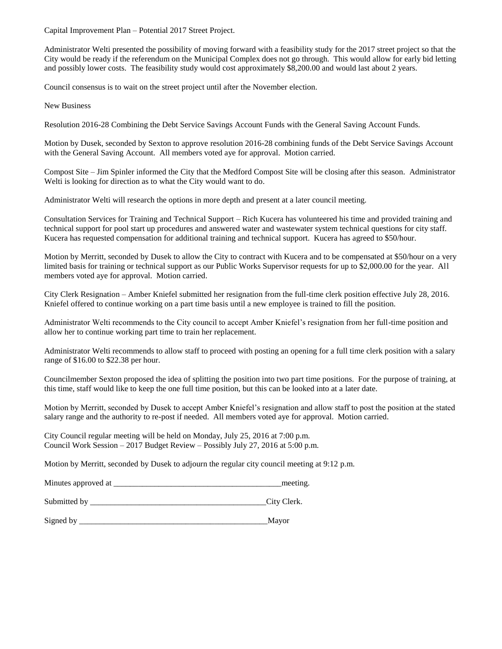Capital Improvement Plan – Potential 2017 Street Project.

Administrator Welti presented the possibility of moving forward with a feasibility study for the 2017 street project so that the City would be ready if the referendum on the Municipal Complex does not go through. This would allow for early bid letting and possibly lower costs. The feasibility study would cost approximately \$8,200.00 and would last about 2 years.

Council consensus is to wait on the street project until after the November election.

New Business

Resolution 2016-28 Combining the Debt Service Savings Account Funds with the General Saving Account Funds.

Motion by Dusek, seconded by Sexton to approve resolution 2016-28 combining funds of the Debt Service Savings Account with the General Saving Account. All members voted aye for approval. Motion carried.

Compost Site – Jim Spinler informed the City that the Medford Compost Site will be closing after this season. Administrator Welti is looking for direction as to what the City would want to do.

Administrator Welti will research the options in more depth and present at a later council meeting.

Consultation Services for Training and Technical Support – Rich Kucera has volunteered his time and provided training and technical support for pool start up procedures and answered water and wastewater system technical questions for city staff. Kucera has requested compensation for additional training and technical support. Kucera has agreed to \$50/hour.

Motion by Merritt, seconded by Dusek to allow the City to contract with Kucera and to be compensated at \$50/hour on a very limited basis for training or technical support as our Public Works Supervisor requests for up to \$2,000.00 for the year. All members voted aye for approval. Motion carried.

City Clerk Resignation – Amber Kniefel submitted her resignation from the full-time clerk position effective July 28, 2016. Kniefel offered to continue working on a part time basis until a new employee is trained to fill the position.

Administrator Welti recommends to the City council to accept Amber Kniefel's resignation from her full-time position and allow her to continue working part time to train her replacement.

Administrator Welti recommends to allow staff to proceed with posting an opening for a full time clerk position with a salary range of \$16.00 to \$22.38 per hour.

Councilmember Sexton proposed the idea of splitting the position into two part time positions. For the purpose of training, at this time, staff would like to keep the one full time position, but this can be looked into at a later date.

Motion by Merritt, seconded by Dusek to accept Amber Kniefel's resignation and allow staff to post the position at the stated salary range and the authority to re-post if needed. All members voted aye for approval. Motion carried.

City Council regular meeting will be held on Monday, July 25, 2016 at 7:00 p.m. Council Work Session – 2017 Budget Review – Possibly July 27, 2016 at 5:00 p.m.

Motion by Merritt, seconded by Dusek to adjourn the regular city council meeting at 9:12 p.m.

| Minutes approved at |  | meeting |
|---------------------|--|---------|
|---------------------|--|---------|

Submitted by  $\qquad \qquad \text{City} \text{Clerk}.$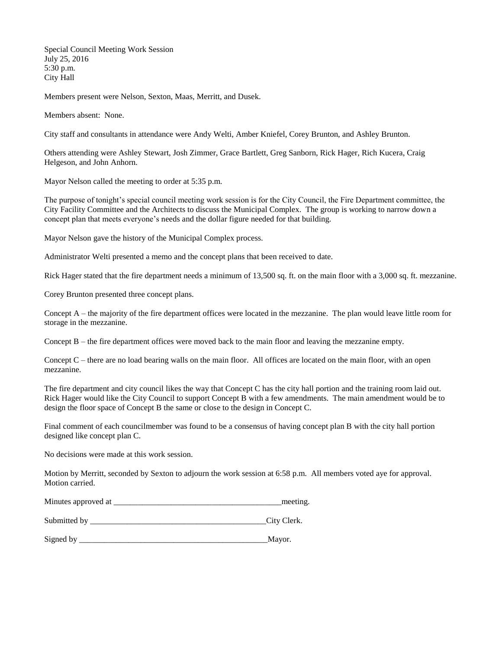Special Council Meeting Work Session July 25, 2016 5:30 p.m. City Hall

Members present were Nelson, Sexton, Maas, Merritt, and Dusek.

Members absent: None.

City staff and consultants in attendance were Andy Welti, Amber Kniefel, Corey Brunton, and Ashley Brunton.

Others attending were Ashley Stewart, Josh Zimmer, Grace Bartlett, Greg Sanborn, Rick Hager, Rich Kucera, Craig Helgeson, and John Anhorn.

Mayor Nelson called the meeting to order at 5:35 p.m.

The purpose of tonight's special council meeting work session is for the City Council, the Fire Department committee, the City Facility Committee and the Architects to discuss the Municipal Complex. The group is working to narrow down a concept plan that meets everyone's needs and the dollar figure needed for that building.

Mayor Nelson gave the history of the Municipal Complex process.

Administrator Welti presented a memo and the concept plans that been received to date.

Rick Hager stated that the fire department needs a minimum of 13,500 sq. ft. on the main floor with a 3,000 sq. ft. mezzanine.

Corey Brunton presented three concept plans.

Concept  $A$  – the majority of the fire department offices were located in the mezzanine. The plan would leave little room for storage in the mezzanine.

Concept  $B$  – the fire department offices were moved back to the main floor and leaving the mezzanine empty.

Concept  $C$  – there are no load bearing walls on the main floor. All offices are located on the main floor, with an open mezzanine.

The fire department and city council likes the way that Concept C has the city hall portion and the training room laid out. Rick Hager would like the City Council to support Concept B with a few amendments. The main amendment would be to design the floor space of Concept B the same or close to the design in Concept C.

Final comment of each councilmember was found to be a consensus of having concept plan B with the city hall portion designed like concept plan C.

No decisions were made at this work session.

Motion by Merritt, seconded by Sexton to adjourn the work session at 6:58 p.m. All members voted aye for approval. Motion carried.

| Minutes approved at | meeting |
|---------------------|---------|
|---------------------|---------|

Submitted by  $\qquad \qquad \text{City Clark.}$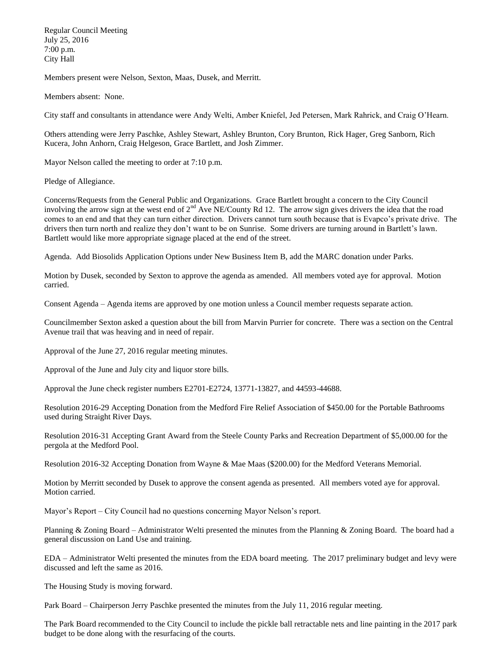Regular Council Meeting July 25, 2016 7:00 p.m. City Hall

Members present were Nelson, Sexton, Maas, Dusek, and Merritt.

Members absent: None.

City staff and consultants in attendance were Andy Welti, Amber Kniefel, Jed Petersen, Mark Rahrick, and Craig O'Hearn.

Others attending were Jerry Paschke, Ashley Stewart, Ashley Brunton, Cory Brunton, Rick Hager, Greg Sanborn, Rich Kucera, John Anhorn, Craig Helgeson, Grace Bartlett, and Josh Zimmer.

Mayor Nelson called the meeting to order at 7:10 p.m.

Pledge of Allegiance.

Concerns/Requests from the General Public and Organizations. Grace Bartlett brought a concern to the City Council involving the arrow sign at the west end of  $2<sup>nd</sup>$  Ave NE/County Rd 12. The arrow sign gives drivers the idea that the road comes to an end and that they can turn either direction. Drivers cannot turn south because that is Evapco's private drive. The drivers then turn north and realize they don't want to be on Sunrise. Some drivers are turning around in Bartlett's lawn. Bartlett would like more appropriate signage placed at the end of the street.

Agenda. Add Biosolids Application Options under New Business Item B, add the MARC donation under Parks.

Motion by Dusek, seconded by Sexton to approve the agenda as amended. All members voted aye for approval. Motion carried.

Consent Agenda – Agenda items are approved by one motion unless a Council member requests separate action.

Councilmember Sexton asked a question about the bill from Marvin Purrier for concrete. There was a section on the Central Avenue trail that was heaving and in need of repair.

Approval of the June 27, 2016 regular meeting minutes.

Approval of the June and July city and liquor store bills.

Approval the June check register numbers E2701-E2724, 13771-13827, and 44593-44688.

Resolution 2016-29 Accepting Donation from the Medford Fire Relief Association of \$450.00 for the Portable Bathrooms used during Straight River Days.

Resolution 2016-31 Accepting Grant Award from the Steele County Parks and Recreation Department of \$5,000.00 for the pergola at the Medford Pool.

Resolution 2016-32 Accepting Donation from Wayne & Mae Maas (\$200.00) for the Medford Veterans Memorial.

Motion by Merritt seconded by Dusek to approve the consent agenda as presented. All members voted aye for approval. Motion carried.

Mayor's Report – City Council had no questions concerning Mayor Nelson's report.

Planning & Zoning Board – Administrator Welti presented the minutes from the Planning & Zoning Board. The board had a general discussion on Land Use and training.

EDA – Administrator Welti presented the minutes from the EDA board meeting. The 2017 preliminary budget and levy were discussed and left the same as 2016.

The Housing Study is moving forward.

Park Board – Chairperson Jerry Paschke presented the minutes from the July 11, 2016 regular meeting.

The Park Board recommended to the City Council to include the pickle ball retractable nets and line painting in the 2017 park budget to be done along with the resurfacing of the courts.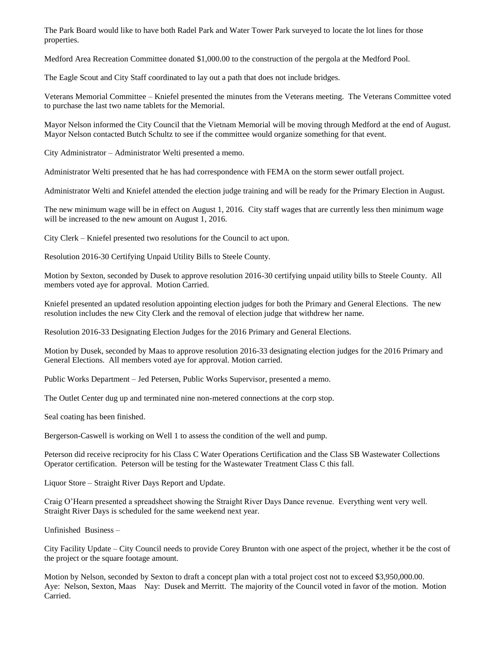The Park Board would like to have both Radel Park and Water Tower Park surveyed to locate the lot lines for those properties.

Medford Area Recreation Committee donated \$1,000.00 to the construction of the pergola at the Medford Pool.

The Eagle Scout and City Staff coordinated to lay out a path that does not include bridges.

Veterans Memorial Committee – Kniefel presented the minutes from the Veterans meeting. The Veterans Committee voted to purchase the last two name tablets for the Memorial.

Mayor Nelson informed the City Council that the Vietnam Memorial will be moving through Medford at the end of August. Mayor Nelson contacted Butch Schultz to see if the committee would organize something for that event.

City Administrator – Administrator Welti presented a memo.

Administrator Welti presented that he has had correspondence with FEMA on the storm sewer outfall project.

Administrator Welti and Kniefel attended the election judge training and will be ready for the Primary Election in August.

The new minimum wage will be in effect on August 1, 2016. City staff wages that are currently less then minimum wage will be increased to the new amount on August 1, 2016.

City Clerk – Kniefel presented two resolutions for the Council to act upon.

Resolution 2016-30 Certifying Unpaid Utility Bills to Steele County.

Motion by Sexton, seconded by Dusek to approve resolution 2016-30 certifying unpaid utility bills to Steele County. All members voted aye for approval. Motion Carried.

Kniefel presented an updated resolution appointing election judges for both the Primary and General Elections. The new resolution includes the new City Clerk and the removal of election judge that withdrew her name.

Resolution 2016-33 Designating Election Judges for the 2016 Primary and General Elections.

Motion by Dusek, seconded by Maas to approve resolution 2016-33 designating election judges for the 2016 Primary and General Elections. All members voted aye for approval. Motion carried.

Public Works Department – Jed Petersen, Public Works Supervisor, presented a memo.

The Outlet Center dug up and terminated nine non-metered connections at the corp stop.

Seal coating has been finished.

Bergerson-Caswell is working on Well 1 to assess the condition of the well and pump.

Peterson did receive reciprocity for his Class C Water Operations Certification and the Class SB Wastewater Collections Operator certification. Peterson will be testing for the Wastewater Treatment Class C this fall.

Liquor Store – Straight River Days Report and Update.

Craig O'Hearn presented a spreadsheet showing the Straight River Days Dance revenue. Everything went very well. Straight River Days is scheduled for the same weekend next year.

Unfinished Business –

City Facility Update – City Council needs to provide Corey Brunton with one aspect of the project, whether it be the cost of the project or the square footage amount.

Motion by Nelson, seconded by Sexton to draft a concept plan with a total project cost not to exceed \$3,950,000.00. Aye: Nelson, Sexton, Maas Nay: Dusek and Merritt. The majority of the Council voted in favor of the motion. Motion Carried.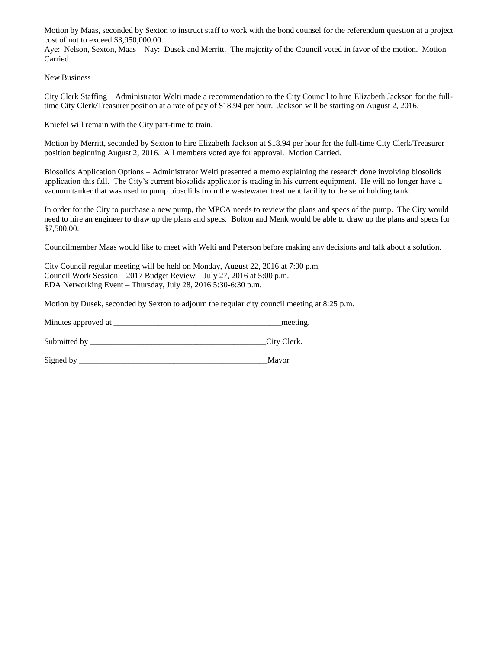Motion by Maas, seconded by Sexton to instruct staff to work with the bond counsel for the referendum question at a project cost of not to exceed \$3,950,000.00.

Aye: Nelson, Sexton, Maas Nay: Dusek and Merritt. The majority of the Council voted in favor of the motion. Motion Carried.

New Business

City Clerk Staffing – Administrator Welti made a recommendation to the City Council to hire Elizabeth Jackson for the fulltime City Clerk/Treasurer position at a rate of pay of \$18.94 per hour. Jackson will be starting on August 2, 2016.

Kniefel will remain with the City part-time to train.

Motion by Merritt, seconded by Sexton to hire Elizabeth Jackson at \$18.94 per hour for the full-time City Clerk/Treasurer position beginning August 2, 2016. All members voted aye for approval. Motion Carried.

Biosolids Application Options – Administrator Welti presented a memo explaining the research done involving biosolids application this fall. The City's current biosolids applicator is trading in his current equipment. He will no longer have a vacuum tanker that was used to pump biosolids from the wastewater treatment facility to the semi holding tank.

In order for the City to purchase a new pump, the MPCA needs to review the plans and specs of the pump. The City would need to hire an engineer to draw up the plans and specs. Bolton and Menk would be able to draw up the plans and specs for \$7,500.00.

Councilmember Maas would like to meet with Welti and Peterson before making any decisions and talk about a solution.

City Council regular meeting will be held on Monday, August 22, 2016 at 7:00 p.m. Council Work Session – 2017 Budget Review – July 27, 2016 at 5:00 p.m. EDA Networking Event – Thursday, July 28, 2016 5:30-6:30 p.m.

Motion by Dusek, seconded by Sexton to adjourn the regular city council meeting at 8:25 p.m.

Minutes approved at \_\_\_\_\_\_\_\_\_\_\_\_\_\_\_\_\_\_\_\_\_\_\_\_\_\_\_\_\_\_\_\_\_\_\_\_\_\_\_\_\_meeting.

Submitted by City Clerk.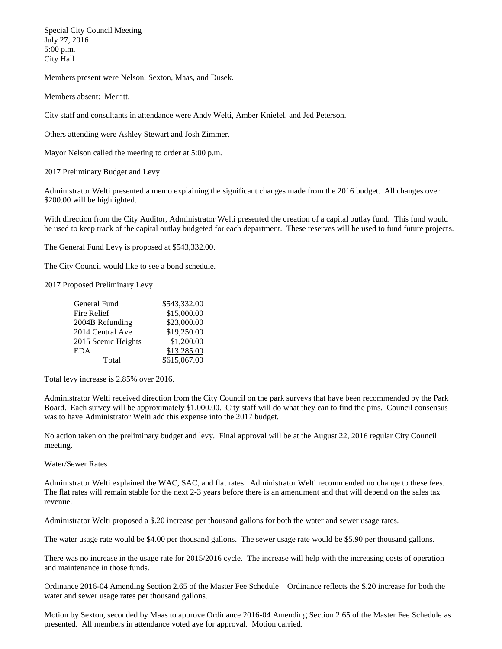Special City Council Meeting July 27, 2016 5:00 p.m. City Hall

Members present were Nelson, Sexton, Maas, and Dusek.

Members absent: Merritt.

City staff and consultants in attendance were Andy Welti, Amber Kniefel, and Jed Peterson.

Others attending were Ashley Stewart and Josh Zimmer.

Mayor Nelson called the meeting to order at 5:00 p.m.

2017 Preliminary Budget and Levy

Administrator Welti presented a memo explaining the significant changes made from the 2016 budget. All changes over \$200.00 will be highlighted.

With direction from the City Auditor, Administrator Welti presented the creation of a capital outlay fund. This fund would be used to keep track of the capital outlay budgeted for each department. These reserves will be used to fund future projects.

The General Fund Levy is proposed at \$543,332.00.

The City Council would like to see a bond schedule.

2017 Proposed Preliminary Levy

| General Fund        | \$543,332.00 |
|---------------------|--------------|
| Fire Relief         | \$15,000.00  |
| 2004B Refunding     | \$23,000.00  |
| 2014 Central Ave    | \$19,250.00  |
| 2015 Scenic Heights | \$1,200.00   |
| EDA                 | \$13,285.00  |
| Total               | \$615,067.00 |

Total levy increase is 2.85% over 2016.

Administrator Welti received direction from the City Council on the park surveys that have been recommended by the Park Board. Each survey will be approximately \$1,000.00. City staff will do what they can to find the pins. Council consensus was to have Administrator Welti add this expense into the 2017 budget.

No action taken on the preliminary budget and levy. Final approval will be at the August 22, 2016 regular City Council meeting.

## Water/Sewer Rates

Administrator Welti explained the WAC, SAC, and flat rates. Administrator Welti recommended no change to these fees. The flat rates will remain stable for the next 2-3 years before there is an amendment and that will depend on the sales tax revenue.

Administrator Welti proposed a \$.20 increase per thousand gallons for both the water and sewer usage rates.

The water usage rate would be \$4.00 per thousand gallons. The sewer usage rate would be \$5.90 per thousand gallons.

There was no increase in the usage rate for 2015/2016 cycle. The increase will help with the increasing costs of operation and maintenance in those funds.

Ordinance 2016-04 Amending Section 2.65 of the Master Fee Schedule – Ordinance reflects the \$.20 increase for both the water and sewer usage rates per thousand gallons.

Motion by Sexton, seconded by Maas to approve Ordinance 2016-04 Amending Section 2.65 of the Master Fee Schedule as presented. All members in attendance voted aye for approval. Motion carried.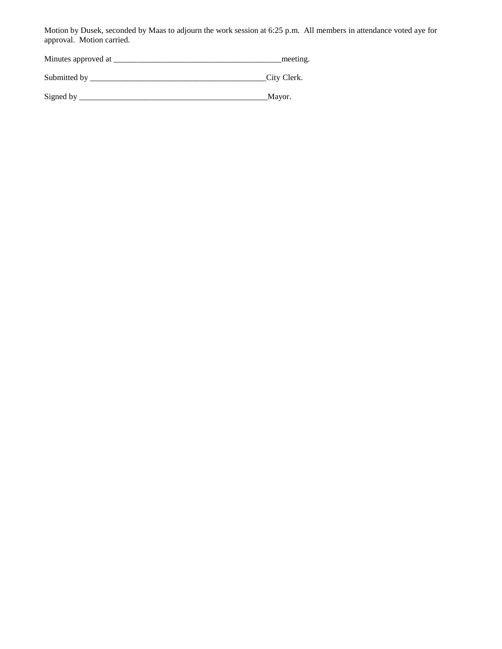Motion by Dusek, seconded by Maas to adjourn the work session at 6:25 p.m. All members in attendance voted aye for approval. Motion carried.

Minutes approved at \_\_\_\_\_\_\_\_\_\_\_\_\_\_\_\_\_\_\_\_\_\_\_\_\_\_\_\_\_\_\_\_\_\_\_\_\_\_\_\_\_meeting.

Submitted by \_\_\_\_\_\_\_\_\_\_\_\_\_\_\_\_\_\_\_\_\_\_\_\_\_\_\_\_\_\_\_\_\_\_\_\_\_\_\_\_\_\_\_City Clerk.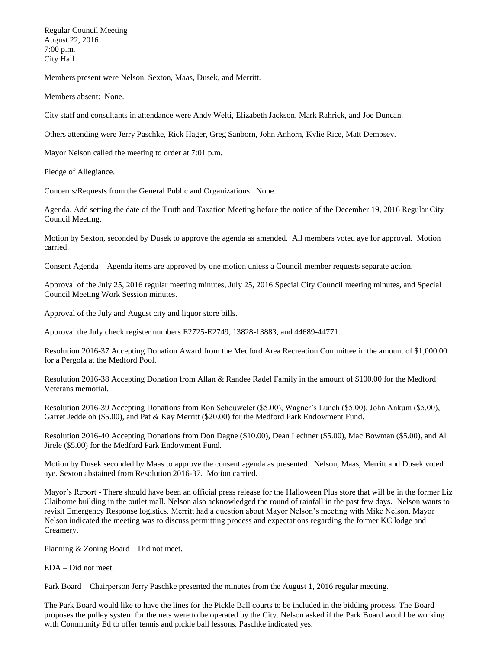Regular Council Meeting August 22, 2016 7:00 p.m. City Hall

Members present were Nelson, Sexton, Maas, Dusek, and Merritt.

Members absent: None.

City staff and consultants in attendance were Andy Welti, Elizabeth Jackson, Mark Rahrick, and Joe Duncan.

Others attending were Jerry Paschke, Rick Hager, Greg Sanborn, John Anhorn, Kylie Rice, Matt Dempsey.

Mayor Nelson called the meeting to order at 7:01 p.m.

Pledge of Allegiance.

Concerns/Requests from the General Public and Organizations. None.

Agenda. Add setting the date of the Truth and Taxation Meeting before the notice of the December 19, 2016 Regular City Council Meeting.

Motion by Sexton, seconded by Dusek to approve the agenda as amended. All members voted aye for approval. Motion carried.

Consent Agenda – Agenda items are approved by one motion unless a Council member requests separate action.

Approval of the July 25, 2016 regular meeting minutes, July 25, 2016 Special City Council meeting minutes, and Special Council Meeting Work Session minutes.

Approval of the July and August city and liquor store bills.

Approval the July check register numbers E2725-E2749, 13828-13883, and 44689-44771.

Resolution 2016-37 Accepting Donation Award from the Medford Area Recreation Committee in the amount of \$1,000.00 for a Pergola at the Medford Pool.

Resolution 2016-38 Accepting Donation from Allan & Randee Radel Family in the amount of \$100.00 for the Medford Veterans memorial.

Resolution 2016-39 Accepting Donations from Ron Schouweler (\$5.00), Wagner's Lunch (\$5.00), John Ankum (\$5.00), Garret Jeddeloh (\$5.00), and Pat & Kay Merritt (\$20.00) for the Medford Park Endowment Fund.

Resolution 2016-40 Accepting Donations from Don Dagne (\$10.00), Dean Lechner (\$5.00), Mac Bowman (\$5.00), and Al Jirele (\$5.00) for the Medford Park Endowment Fund.

Motion by Dusek seconded by Maas to approve the consent agenda as presented. Nelson, Maas, Merritt and Dusek voted aye. Sexton abstained from Resolution 2016-37. Motion carried.

Mayor's Report - There should have been an official press release for the Halloween Plus store that will be in the former Liz Claiborne building in the outlet mall. Nelson also acknowledged the round of rainfall in the past few days. Nelson wants to revisit Emergency Response logistics. Merritt had a question about Mayor Nelson's meeting with Mike Nelson. Mayor Nelson indicated the meeting was to discuss permitting process and expectations regarding the former KC lodge and Creamery.

Planning & Zoning Board – Did not meet.

EDA – Did not meet.

Park Board – Chairperson Jerry Paschke presented the minutes from the August 1, 2016 regular meeting.

The Park Board would like to have the lines for the Pickle Ball courts to be included in the bidding process. The Board proposes the pulley system for the nets were to be operated by the City. Nelson asked if the Park Board would be working with Community Ed to offer tennis and pickle ball lessons. Paschke indicated yes.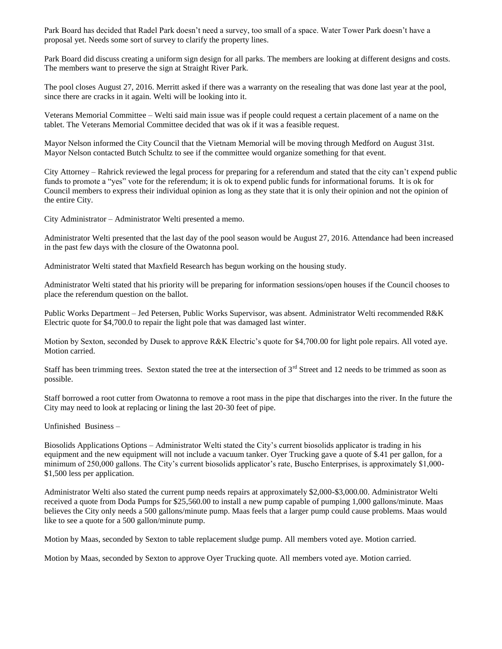Park Board has decided that Radel Park doesn't need a survey, too small of a space. Water Tower Park doesn't have a proposal yet. Needs some sort of survey to clarify the property lines.

Park Board did discuss creating a uniform sign design for all parks. The members are looking at different designs and costs. The members want to preserve the sign at Straight River Park.

The pool closes August 27, 2016. Merritt asked if there was a warranty on the resealing that was done last year at the pool, since there are cracks in it again. Welti will be looking into it.

Veterans Memorial Committee – Welti said main issue was if people could request a certain placement of a name on the tablet. The Veterans Memorial Committee decided that was ok if it was a feasible request.

Mayor Nelson informed the City Council that the Vietnam Memorial will be moving through Medford on August 31st. Mayor Nelson contacted Butch Schultz to see if the committee would organize something for that event.

City Attorney – Rahrick reviewed the legal process for preparing for a referendum and stated that the city can't expend public funds to promote a "yes" vote for the referendum; it is ok to expend public funds for informational forums. It is ok for Council members to express their individual opinion as long as they state that it is only their opinion and not the opinion of the entire City.

City Administrator – Administrator Welti presented a memo.

Administrator Welti presented that the last day of the pool season would be August 27, 2016. Attendance had been increased in the past few days with the closure of the Owatonna pool.

Administrator Welti stated that Maxfield Research has begun working on the housing study.

Administrator Welti stated that his priority will be preparing for information sessions/open houses if the Council chooses to place the referendum question on the ballot.

Public Works Department – Jed Petersen, Public Works Supervisor, was absent. Administrator Welti recommended R&K Electric quote for \$4,700.0 to repair the light pole that was damaged last winter.

Motion by Sexton, seconded by Dusek to approve R&K Electric's quote for \$4,700.00 for light pole repairs. All voted aye. Motion carried.

Staff has been trimming trees. Sexton stated the tree at the intersection of  $3<sup>rd</sup>$  Street and 12 needs to be trimmed as soon as possible.

Staff borrowed a root cutter from Owatonna to remove a root mass in the pipe that discharges into the river. In the future the City may need to look at replacing or lining the last 20-30 feet of pipe.

Unfinished Business –

Biosolids Applications Options – Administrator Welti stated the City's current biosolids applicator is trading in his equipment and the new equipment will not include a vacuum tanker. Oyer Trucking gave a quote of \$.41 per gallon, for a minimum of 250,000 gallons. The City's current biosolids applicator's rate, Buscho Enterprises, is approximately \$1,000- \$1,500 less per application.

Administrator Welti also stated the current pump needs repairs at approximately \$2,000-\$3,000.00. Administrator Welti received a quote from Doda Pumps for \$25,560.00 to install a new pump capable of pumping 1,000 gallons/minute. Maas believes the City only needs a 500 gallons/minute pump. Maas feels that a larger pump could cause problems. Maas would like to see a quote for a 500 gallon/minute pump.

Motion by Maas, seconded by Sexton to table replacement sludge pump. All members voted aye. Motion carried.

Motion by Maas, seconded by Sexton to approve Oyer Trucking quote. All members voted aye. Motion carried.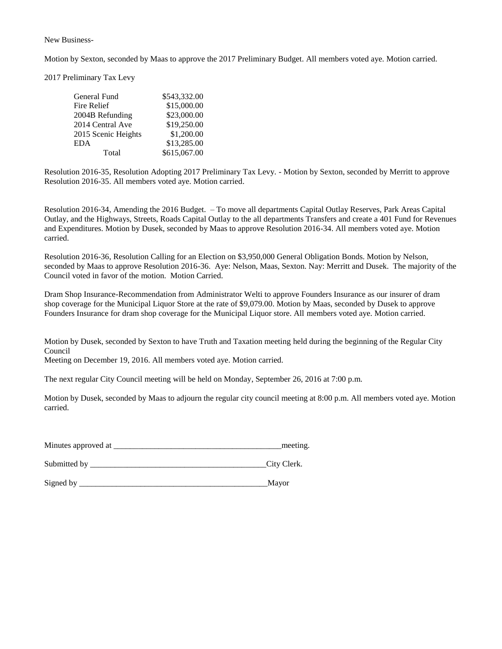New Business-

Motion by Sexton, seconded by Maas to approve the 2017 Preliminary Budget. All members voted aye. Motion carried.

2017 Preliminary Tax Levy

| General Fund        | \$543,332.00 |
|---------------------|--------------|
| Fire Relief         | \$15,000.00  |
| 2004B Refunding     | \$23,000.00  |
| 2014 Central Ave    | \$19,250.00  |
| 2015 Scenic Heights | \$1,200.00   |
| <b>EDA</b>          | \$13,285.00  |
| Total               | \$615,067.00 |

Resolution 2016-35, Resolution Adopting 2017 Preliminary Tax Levy. - Motion by Sexton, seconded by Merritt to approve Resolution 2016-35. All members voted aye. Motion carried.

Resolution 2016-34, Amending the 2016 Budget. – To move all departments Capital Outlay Reserves, Park Areas Capital Outlay, and the Highways, Streets, Roads Capital Outlay to the all departments Transfers and create a 401 Fund for Revenues and Expenditures. Motion by Dusek, seconded by Maas to approve Resolution 2016-34. All members voted aye. Motion carried.

Resolution 2016-36, Resolution Calling for an Election on \$3,950,000 General Obligation Bonds. Motion by Nelson, seconded by Maas to approve Resolution 2016-36. Aye: Nelson, Maas, Sexton. Nay: Merritt and Dusek. The majority of the Council voted in favor of the motion. Motion Carried.

Dram Shop Insurance-Recommendation from Administrator Welti to approve Founders Insurance as our insurer of dram shop coverage for the Municipal Liquor Store at the rate of \$9,079.00. Motion by Maas, seconded by Dusek to approve Founders Insurance for dram shop coverage for the Municipal Liquor store. All members voted aye. Motion carried.

Motion by Dusek, seconded by Sexton to have Truth and Taxation meeting held during the beginning of the Regular City Council

Meeting on December 19, 2016. All members voted aye. Motion carried.

The next regular City Council meeting will be held on Monday, September 26, 2016 at 7:00 p.m.

Motion by Dusek, seconded by Maas to adjourn the regular city council meeting at 8:00 p.m. All members voted aye. Motion carried.

| Minutes approved at |  | meeting |
|---------------------|--|---------|
|---------------------|--|---------|

Submitted by \_\_\_\_\_\_\_\_\_\_\_\_\_\_\_\_\_\_\_\_\_\_\_\_\_\_\_\_\_\_\_\_\_\_\_\_\_\_\_\_\_\_\_City Clerk.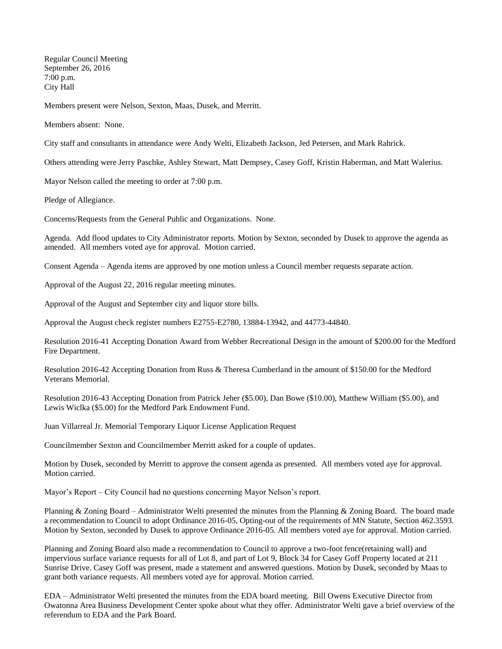Regular Council Meeting September 26, 2016 7:00 p.m. City Hall

Members present were Nelson, Sexton, Maas, Dusek, and Merritt.

Members absent: None.

City staff and consultants in attendance were Andy Welti, Elizabeth Jackson, Jed Petersen, and Mark Rahrick.

Others attending were Jerry Paschke, Ashley Stewart, Matt Dempsey, Casey Goff, Kristin Haberman, and Matt Walerius.

Mayor Nelson called the meeting to order at 7:00 p.m.

Pledge of Allegiance.

Concerns/Requests from the General Public and Organizations. None.

Agenda. Add flood updates to City Administrator reports. Motion by Sexton, seconded by Dusek to approve the agenda as amended. All members voted aye for approval. Motion carried.

Consent Agenda – Agenda items are approved by one motion unless a Council member requests separate action.

Approval of the August 22, 2016 regular meeting minutes.

Approval of the August and September city and liquor store bills.

Approval the August check register numbers E2755-E2780, 13884-13942, and 44773-44840.

Resolution 2016-41 Accepting Donation Award from Webber Recreational Design in the amount of \$200.00 for the Medford Fire Department.

Resolution 2016-42 Accepting Donation from Russ & Theresa Cumberland in the amount of \$150.00 for the Medford Veterans Memorial.

Resolution 2016-43 Accepting Donation from Patrick Jeher (\$5.00), Dan Bowe (\$10.00), Matthew William (\$5.00), and Lewis Wiclka (\$5.00) for the Medford Park Endowment Fund.

Juan Villarreal Jr. Memorial Temporary Liquor License Application Request

Councilmember Sexton and Councilmember Merritt asked for a couple of updates.

Motion by Dusek, seconded by Merritt to approve the consent agenda as presented. All members voted aye for approval. Motion carried.

Mayor's Report – City Council had no questions concerning Mayor Nelson's report.

Planning & Zoning Board – Administrator Welti presented the minutes from the Planning & Zoning Board. The board made a recommendation to Council to adopt Ordinance 2016-05, Opting-out of the requirements of MN Statute, Section 462.3593. Motion by Sexton, seconded by Dusek to approve Ordinance 2016-05. All members voted aye for approval. Motion carried.

Planning and Zoning Board also made a recommendation to Council to approve a two-foot fence(retaining wall) and impervious surface variance requests for all of Lot 8, and part of Lot 9, Block 34 for Casey Goff Property located at 211 Sunrise Drive. Casey Goff was present, made a statement and answered questions. Motion by Dusek, seconded by Maas to grant both variance requests. All members voted aye for approval. Motion carried.

EDA – Administrator Welti presented the minutes from the EDA board meeting. Bill Owens Executive Director from Owatonna Area Business Development Center spoke about what they offer. Administrator Welti gave a brief overview of the referendum to EDA and the Park Board.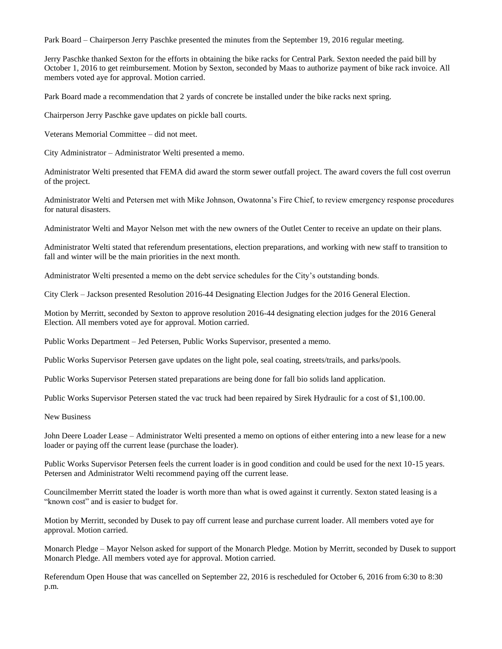Park Board – Chairperson Jerry Paschke presented the minutes from the September 19, 2016 regular meeting.

Jerry Paschke thanked Sexton for the efforts in obtaining the bike racks for Central Park. Sexton needed the paid bill by October 1, 2016 to get reimbursement. Motion by Sexton, seconded by Maas to authorize payment of bike rack invoice. All members voted aye for approval. Motion carried.

Park Board made a recommendation that 2 yards of concrete be installed under the bike racks next spring.

Chairperson Jerry Paschke gave updates on pickle ball courts.

Veterans Memorial Committee – did not meet.

City Administrator – Administrator Welti presented a memo.

Administrator Welti presented that FEMA did award the storm sewer outfall project. The award covers the full cost overrun of the project.

Administrator Welti and Petersen met with Mike Johnson, Owatonna's Fire Chief, to review emergency response procedures for natural disasters.

Administrator Welti and Mayor Nelson met with the new owners of the Outlet Center to receive an update on their plans.

Administrator Welti stated that referendum presentations, election preparations, and working with new staff to transition to fall and winter will be the main priorities in the next month.

Administrator Welti presented a memo on the debt service schedules for the City's outstanding bonds.

City Clerk – Jackson presented Resolution 2016-44 Designating Election Judges for the 2016 General Election.

Motion by Merritt, seconded by Sexton to approve resolution 2016-44 designating election judges for the 2016 General Election. All members voted aye for approval. Motion carried.

Public Works Department – Jed Petersen, Public Works Supervisor, presented a memo.

Public Works Supervisor Petersen gave updates on the light pole, seal coating, streets/trails, and parks/pools.

Public Works Supervisor Petersen stated preparations are being done for fall bio solids land application.

Public Works Supervisor Petersen stated the vac truck had been repaired by Sirek Hydraulic for a cost of \$1,100.00.

New Business

John Deere Loader Lease – Administrator Welti presented a memo on options of either entering into a new lease for a new loader or paying off the current lease (purchase the loader).

Public Works Supervisor Petersen feels the current loader is in good condition and could be used for the next 10-15 years. Petersen and Administrator Welti recommend paying off the current lease.

Councilmember Merritt stated the loader is worth more than what is owed against it currently. Sexton stated leasing is a "known cost" and is easier to budget for.

Motion by Merritt, seconded by Dusek to pay off current lease and purchase current loader. All members voted aye for approval. Motion carried.

Monarch Pledge – Mayor Nelson asked for support of the Monarch Pledge. Motion by Merritt, seconded by Dusek to support Monarch Pledge. All members voted aye for approval. Motion carried.

Referendum Open House that was cancelled on September 22, 2016 is rescheduled for October 6, 2016 from 6:30 to 8:30 p.m.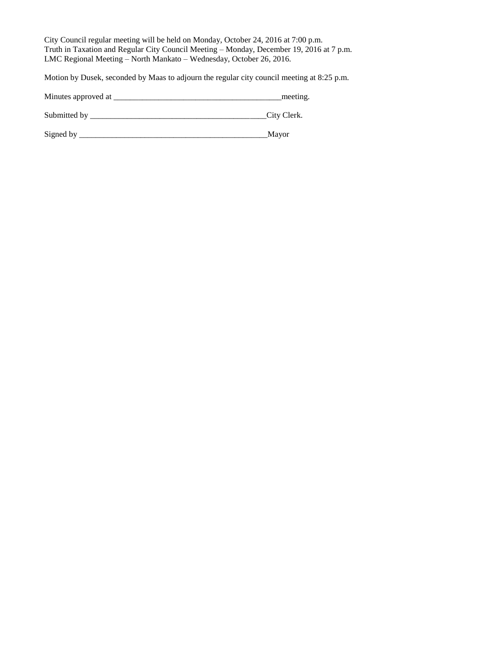City Council regular meeting will be held on Monday, October 24, 2016 at 7:00 p.m. Truth in Taxation and Regular City Council Meeting – Monday, December 19, 2016 at 7 p.m. LMC Regional Meeting – North Mankato – Wednesday, October 26, 2016.

Motion by Dusek, seconded by Maas to adjourn the regular city council meeting at 8:25 p.m.

Minutes approved at \_\_\_\_\_\_\_\_\_\_\_\_\_\_\_\_\_\_\_\_\_\_\_\_\_\_\_\_\_\_\_\_\_\_\_\_\_\_\_\_\_meeting.

Submitted by \_\_\_\_\_\_\_\_\_\_\_\_\_\_\_\_\_\_\_\_\_\_\_\_\_\_\_\_\_\_\_\_\_\_\_\_\_\_\_\_\_\_\_City Clerk.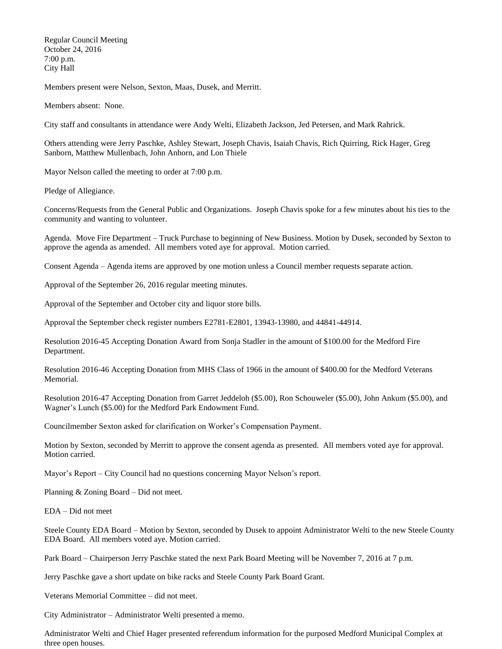Regular Council Meeting October 24, 2016 7:00 p.m. City Hall

Members present were Nelson, Sexton, Maas, Dusek, and Merritt.

Members absent: None.

City staff and consultants in attendance were Andy Welti, Elizabeth Jackson, Jed Petersen, and Mark Rahrick.

Others attending were Jerry Paschke, Ashley Stewart, Joseph Chavis, Isaiah Chavis, Rich Quirring, Rick Hager, Greg Sanborn, Matthew Mullenbach, John Anhorn, and Lon Thiele

Mayor Nelson called the meeting to order at 7:00 p.m.

Pledge of Allegiance.

Concerns/Requests from the General Public and Organizations. Joseph Chavis spoke for a few minutes about his ties to the community and wanting to volunteer.

Agenda. Move Fire Department – Truck Purchase to beginning of New Business. Motion by Dusek, seconded by Sexton to approve the agenda as amended. All members voted aye for approval. Motion carried.

Consent Agenda – Agenda items are approved by one motion unless a Council member requests separate action.

Approval of the September 26, 2016 regular meeting minutes.

Approval of the September and October city and liquor store bills.

Approval the September check register numbers E2781-E2801, 13943-13980, and 44841-44914.

Resolution 2016-45 Accepting Donation Award from Sonja Stadler in the amount of \$100.00 for the Medford Fire Department.

Resolution 2016-46 Accepting Donation from MHS Class of 1966 in the amount of \$400.00 for the Medford Veterans Memorial.

Resolution 2016-47 Accepting Donation from Garret Jeddeloh (\$5.00), Ron Schouweler (\$5.00), John Ankum (\$5.00), and Wagner's Lunch (\$5.00) for the Medford Park Endowment Fund.

Councilmember Sexton asked for clarification on Worker's Compensation Payment.

Motion by Sexton, seconded by Merritt to approve the consent agenda as presented. All members voted aye for approval. Motion carried.

Mayor's Report – City Council had no questions concerning Mayor Nelson's report.

Planning & Zoning Board – Did not meet.

EDA – Did not meet

Steele County EDA Board – Motion by Sexton, seconded by Dusek to appoint Administrator Welti to the new Steele County EDA Board. All members voted aye. Motion carried.

Park Board – Chairperson Jerry Paschke stated the next Park Board Meeting will be November 7, 2016 at 7 p.m.

Jerry Paschke gave a short update on bike racks and Steele County Park Board Grant.

Veterans Memorial Committee – did not meet.

City Administrator – Administrator Welti presented a memo.

Administrator Welti and Chief Hager presented referendum information for the purposed Medford Municipal Complex at three open houses.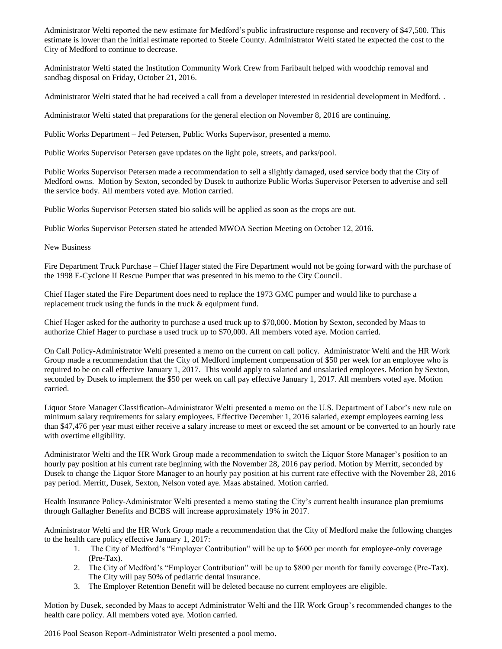Administrator Welti reported the new estimate for Medford's public infrastructure response and recovery of \$47,500. This estimate is lower than the initial estimate reported to Steele County. Administrator Welti stated he expected the cost to the City of Medford to continue to decrease.

Administrator Welti stated the Institution Community Work Crew from Faribault helped with woodchip removal and sandbag disposal on Friday, October 21, 2016.

Administrator Welti stated that he had received a call from a developer interested in residential development in Medford. .

Administrator Welti stated that preparations for the general election on November 8, 2016 are continuing.

Public Works Department – Jed Petersen, Public Works Supervisor, presented a memo.

Public Works Supervisor Petersen gave updates on the light pole, streets, and parks/pool.

Public Works Supervisor Petersen made a recommendation to sell a slightly damaged, used service body that the City of Medford owns. Motion by Sexton, seconded by Dusek to authorize Public Works Supervisor Petersen to advertise and sell the service body. All members voted aye. Motion carried.

Public Works Supervisor Petersen stated bio solids will be applied as soon as the crops are out.

Public Works Supervisor Petersen stated he attended MWOA Section Meeting on October 12, 2016.

New Business

Fire Department Truck Purchase – Chief Hager stated the Fire Department would not be going forward with the purchase of the 1998 E-Cyclone II Rescue Pumper that was presented in his memo to the City Council.

Chief Hager stated the Fire Department does need to replace the 1973 GMC pumper and would like to purchase a replacement truck using the funds in the truck & equipment fund.

Chief Hager asked for the authority to purchase a used truck up to \$70,000. Motion by Sexton, seconded by Maas to authorize Chief Hager to purchase a used truck up to \$70,000. All members voted aye. Motion carried.

On Call Policy-Administrator Welti presented a memo on the current on call policy. Administrator Welti and the HR Work Group made a recommendation that the City of Medford implement compensation of \$50 per week for an employee who is required to be on call effective January 1, 2017. This would apply to salaried and unsalaried employees. Motion by Sexton, seconded by Dusek to implement the \$50 per week on call pay effective January 1, 2017. All members voted aye. Motion carried.

Liquor Store Manager Classification-Administrator Welti presented a memo on the U.S. Department of Labor's new rule on minimum salary requirements for salary employees. Effective December 1, 2016 salaried, exempt employees earning less than \$47,476 per year must either receive a salary increase to meet or exceed the set amount or be converted to an hourly rate with overtime eligibility.

Administrator Welti and the HR Work Group made a recommendation to switch the Liquor Store Manager's position to an hourly pay position at his current rate beginning with the November 28, 2016 pay period. Motion by Merritt, seconded by Dusek to change the Liquor Store Manager to an hourly pay position at his current rate effective with the November 28, 2016 pay period. Merritt, Dusek, Sexton, Nelson voted aye. Maas abstained. Motion carried.

Health Insurance Policy-Administrator Welti presented a memo stating the City's current health insurance plan premiums through Gallagher Benefits and BCBS will increase approximately 19% in 2017.

Administrator Welti and the HR Work Group made a recommendation that the City of Medford make the following changes to the health care policy effective January 1, 2017:

- 1. The City of Medford's "Employer Contribution" will be up to \$600 per month for employee-only coverage (Pre-Tax).
- 2. The City of Medford's "Employer Contribution" will be up to \$800 per month for family coverage (Pre-Tax). The City will pay 50% of pediatric dental insurance.
- 3. The Employer Retention Benefit will be deleted because no current employees are eligible.

Motion by Dusek, seconded by Maas to accept Administrator Welti and the HR Work Group's recommended changes to the health care policy. All members voted aye. Motion carried.

2016 Pool Season Report-Administrator Welti presented a pool memo.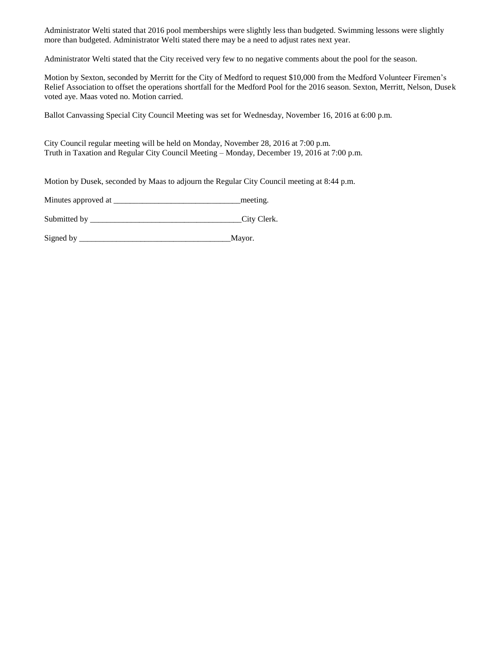Administrator Welti stated that 2016 pool memberships were slightly less than budgeted. Swimming lessons were slightly more than budgeted. Administrator Welti stated there may be a need to adjust rates next year.

Administrator Welti stated that the City received very few to no negative comments about the pool for the season.

Motion by Sexton, seconded by Merritt for the City of Medford to request \$10,000 from the Medford Volunteer Firemen's Relief Association to offset the operations shortfall for the Medford Pool for the 2016 season. Sexton, Merritt, Nelson, Dusek voted aye. Maas voted no. Motion carried.

Ballot Canvassing Special City Council Meeting was set for Wednesday, November 16, 2016 at 6:00 p.m.

City Council regular meeting will be held on Monday, November 28, 2016 at 7:00 p.m. Truth in Taxation and Regular City Council Meeting – Monday, December 19, 2016 at 7:00 p.m.

Motion by Dusek, seconded by Maas to adjourn the Regular City Council meeting at 8:44 p.m.

Minutes approved at \_\_\_\_\_\_\_\_\_\_\_\_\_\_\_\_\_\_\_\_\_\_\_\_\_\_\_\_\_\_\_meeting.

Submitted by \_\_\_\_\_\_\_\_\_\_\_\_\_\_\_\_\_\_\_\_\_\_\_\_\_\_\_\_\_\_\_\_\_\_\_\_\_City Clerk.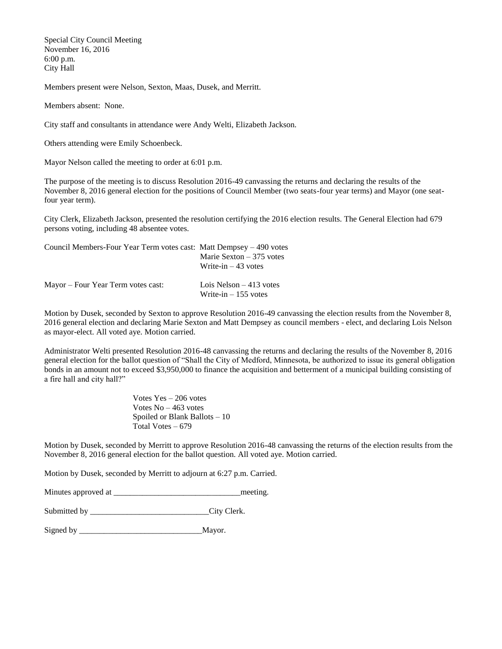Special City Council Meeting November 16, 2016 6:00 p.m. City Hall

Members present were Nelson, Sexton, Maas, Dusek, and Merritt.

Members absent: None.

City staff and consultants in attendance were Andy Welti, Elizabeth Jackson.

Others attending were Emily Schoenbeck.

Mayor Nelson called the meeting to order at 6:01 p.m.

The purpose of the meeting is to discuss Resolution 2016-49 canvassing the returns and declaring the results of the November 8, 2016 general election for the positions of Council Member (two seats-four year terms) and Mayor (one seatfour year term).

City Clerk, Elizabeth Jackson, presented the resolution certifying the 2016 election results. The General Election had 679 persons voting, including 48 absentee votes.

| Council Members-Four Year Term votes cast: Matt Dempsey – 490 votes |                                                   |
|---------------------------------------------------------------------|---------------------------------------------------|
|                                                                     | Marie Sexton $-375$ votes                         |
|                                                                     | Write-in $-43$ votes                              |
| Mayor – Four Year Term votes cast:                                  | Lois Nelson $-413$ votes<br>Write-in $-155$ votes |

Motion by Dusek, seconded by Sexton to approve Resolution 2016-49 canvassing the election results from the November 8, 2016 general election and declaring Marie Sexton and Matt Dempsey as council members - elect, and declaring Lois Nelson as mayor-elect. All voted aye. Motion carried.

Administrator Welti presented Resolution 2016-48 canvassing the returns and declaring the results of the November 8, 2016 general election for the ballot question of "Shall the City of Medford, Minnesota, be authorized to issue its general obligation bonds in an amount not to exceed \$3,950,000 to finance the acquisition and betterment of a municipal building consisting of a fire hall and city hall?"

> Votes Yes – 206 votes Votes No – 463 votes Spoiled or Blank Ballots – 10 Total Votes – 679

Motion by Dusek, seconded by Merritt to approve Resolution 2016-48 canvassing the returns of the election results from the November 8, 2016 general election for the ballot question. All voted aye. Motion carried.

Motion by Dusek, seconded by Merritt to adjourn at 6:27 p.m. Carried.

Minutes approved at \_\_\_\_\_\_\_\_\_\_\_\_\_\_\_\_\_\_\_\_\_\_\_\_\_\_\_\_\_\_\_meeting.

Submitted by \_\_\_\_\_\_\_\_\_\_\_\_\_\_\_\_\_\_\_\_\_\_\_\_\_\_\_\_\_\_\_\_\_City Clerk.

Signed by \_\_\_\_\_\_\_\_\_\_\_\_\_\_\_\_\_\_\_\_\_\_\_\_\_\_\_\_\_\_Mayor.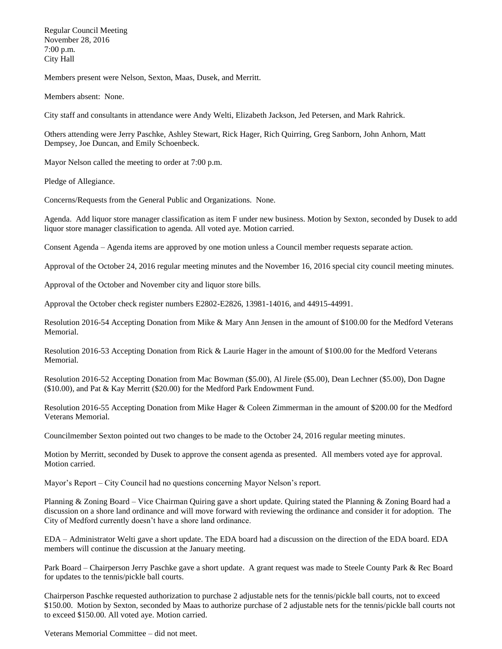Regular Council Meeting November 28, 2016 7:00 p.m. City Hall

Members present were Nelson, Sexton, Maas, Dusek, and Merritt.

Members absent: None.

City staff and consultants in attendance were Andy Welti, Elizabeth Jackson, Jed Petersen, and Mark Rahrick.

Others attending were Jerry Paschke, Ashley Stewart, Rick Hager, Rich Quirring, Greg Sanborn, John Anhorn, Matt Dempsey, Joe Duncan, and Emily Schoenbeck.

Mayor Nelson called the meeting to order at 7:00 p.m.

Pledge of Allegiance.

Concerns/Requests from the General Public and Organizations. None.

Agenda. Add liquor store manager classification as item F under new business. Motion by Sexton, seconded by Dusek to add liquor store manager classification to agenda. All voted aye. Motion carried.

Consent Agenda – Agenda items are approved by one motion unless a Council member requests separate action.

Approval of the October 24, 2016 regular meeting minutes and the November 16, 2016 special city council meeting minutes.

Approval of the October and November city and liquor store bills.

Approval the October check register numbers E2802-E2826, 13981-14016, and 44915-44991.

Resolution 2016-54 Accepting Donation from Mike & Mary Ann Jensen in the amount of \$100.00 for the Medford Veterans Memorial.

Resolution 2016-53 Accepting Donation from Rick & Laurie Hager in the amount of \$100.00 for the Medford Veterans Memorial.

Resolution 2016-52 Accepting Donation from Mac Bowman (\$5.00), Al Jirele (\$5.00), Dean Lechner (\$5.00), Don Dagne (\$10.00), and Pat & Kay Merritt (\$20.00) for the Medford Park Endowment Fund.

Resolution 2016-55 Accepting Donation from Mike Hager & Coleen Zimmerman in the amount of \$200.00 for the Medford Veterans Memorial.

Councilmember Sexton pointed out two changes to be made to the October 24, 2016 regular meeting minutes.

Motion by Merritt, seconded by Dusek to approve the consent agenda as presented. All members voted aye for approval. Motion carried.

Mayor's Report – City Council had no questions concerning Mayor Nelson's report.

Planning & Zoning Board – Vice Chairman Quiring gave a short update. Quiring stated the Planning & Zoning Board had a discussion on a shore land ordinance and will move forward with reviewing the ordinance and consider it for adoption. The City of Medford currently doesn't have a shore land ordinance.

EDA – Administrator Welti gave a short update. The EDA board had a discussion on the direction of the EDA board. EDA members will continue the discussion at the January meeting.

Park Board – Chairperson Jerry Paschke gave a short update. A grant request was made to Steele County Park & Rec Board for updates to the tennis/pickle ball courts.

Chairperson Paschke requested authorization to purchase 2 adjustable nets for the tennis/pickle ball courts, not to exceed \$150.00. Motion by Sexton, seconded by Maas to authorize purchase of 2 adjustable nets for the tennis/pickle ball courts not to exceed \$150.00. All voted aye. Motion carried.

Veterans Memorial Committee – did not meet.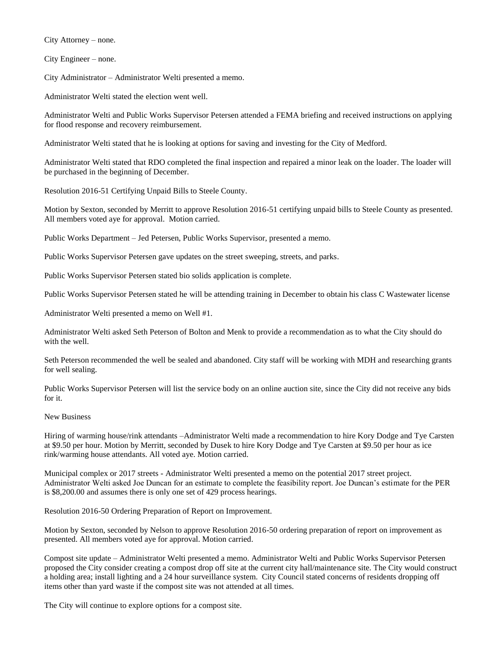City Attorney – none.

City Engineer – none.

City Administrator – Administrator Welti presented a memo.

Administrator Welti stated the election went well.

Administrator Welti and Public Works Supervisor Petersen attended a FEMA briefing and received instructions on applying for flood response and recovery reimbursement.

Administrator Welti stated that he is looking at options for saving and investing for the City of Medford.

Administrator Welti stated that RDO completed the final inspection and repaired a minor leak on the loader. The loader will be purchased in the beginning of December.

Resolution 2016-51 Certifying Unpaid Bills to Steele County.

Motion by Sexton, seconded by Merritt to approve Resolution 2016-51 certifying unpaid bills to Steele County as presented. All members voted aye for approval. Motion carried.

Public Works Department – Jed Petersen, Public Works Supervisor, presented a memo.

Public Works Supervisor Petersen gave updates on the street sweeping, streets, and parks.

Public Works Supervisor Petersen stated bio solids application is complete.

Public Works Supervisor Petersen stated he will be attending training in December to obtain his class C Wastewater license

Administrator Welti presented a memo on Well #1.

Administrator Welti asked Seth Peterson of Bolton and Menk to provide a recommendation as to what the City should do with the well.

Seth Peterson recommended the well be sealed and abandoned. City staff will be working with MDH and researching grants for well sealing.

Public Works Supervisor Petersen will list the service body on an online auction site, since the City did not receive any bids for it.

## New Business

Hiring of warming house/rink attendants –Administrator Welti made a recommendation to hire Kory Dodge and Tye Carsten at \$9.50 per hour. Motion by Merritt, seconded by Dusek to hire Kory Dodge and Tye Carsten at \$9.50 per hour as ice rink/warming house attendants. All voted aye. Motion carried.

Municipal complex or 2017 streets - Administrator Welti presented a memo on the potential 2017 street project. Administrator Welti asked Joe Duncan for an estimate to complete the feasibility report. Joe Duncan's estimate for the PER is \$8,200.00 and assumes there is only one set of 429 process hearings.

Resolution 2016-50 Ordering Preparation of Report on Improvement.

Motion by Sexton, seconded by Nelson to approve Resolution 2016-50 ordering preparation of report on improvement as presented. All members voted aye for approval. Motion carried.

Compost site update – Administrator Welti presented a memo. Administrator Welti and Public Works Supervisor Petersen proposed the City consider creating a compost drop off site at the current city hall/maintenance site. The City would construct a holding area; install lighting and a 24 hour surveillance system. City Council stated concerns of residents dropping off items other than yard waste if the compost site was not attended at all times.

The City will continue to explore options for a compost site.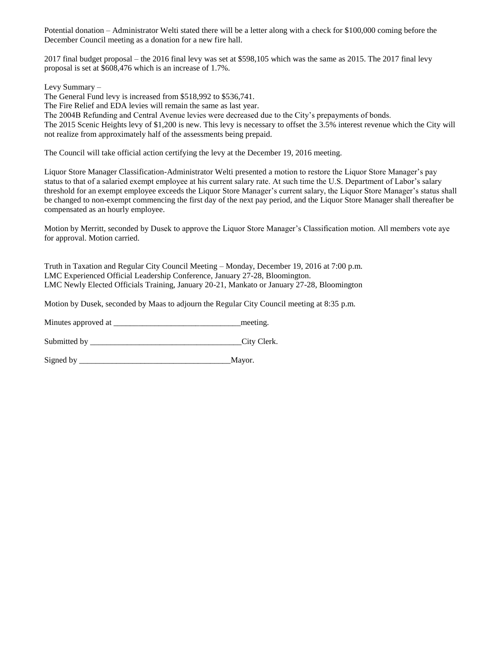Potential donation – Administrator Welti stated there will be a letter along with a check for \$100,000 coming before the December Council meeting as a donation for a new fire hall.

2017 final budget proposal – the 2016 final levy was set at \$598,105 which was the same as 2015. The 2017 final levy proposal is set at \$608,476 which is an increase of 1.7%.

Levy Summary –

The General Fund levy is increased from \$518,992 to \$536,741.

The Fire Relief and EDA levies will remain the same as last year.

The 2004B Refunding and Central Avenue levies were decreased due to the City's prepayments of bonds.

The 2015 Scenic Heights levy of \$1,200 is new. This levy is necessary to offset the 3.5% interest revenue which the City will not realize from approximately half of the assessments being prepaid.

The Council will take official action certifying the levy at the December 19, 2016 meeting.

Liquor Store Manager Classification-Administrator Welti presented a motion to restore the Liquor Store Manager's pay status to that of a salaried exempt employee at his current salary rate. At such time the U.S. Department of Labor's salary threshold for an exempt employee exceeds the Liquor Store Manager's current salary, the Liquor Store Manager's status shall be changed to non-exempt commencing the first day of the next pay period, and the Liquor Store Manager shall thereafter be compensated as an hourly employee.

Motion by Merritt, seconded by Dusek to approve the Liquor Store Manager's Classification motion. All members vote aye for approval. Motion carried.

Truth in Taxation and Regular City Council Meeting – Monday, December 19, 2016 at 7:00 p.m. LMC Experienced Official Leadership Conference, January 27-28, Bloomington. LMC Newly Elected Officials Training, January 20-21, Mankato or January 27-28, Bloomington

Motion by Dusek, seconded by Maas to adjourn the Regular City Council meeting at 8:35 p.m.

Minutes approved at \_\_\_\_\_\_\_\_\_\_\_\_\_\_\_\_\_\_\_\_\_\_\_\_\_\_\_\_\_\_\_meeting.

Submitted by City Clerk.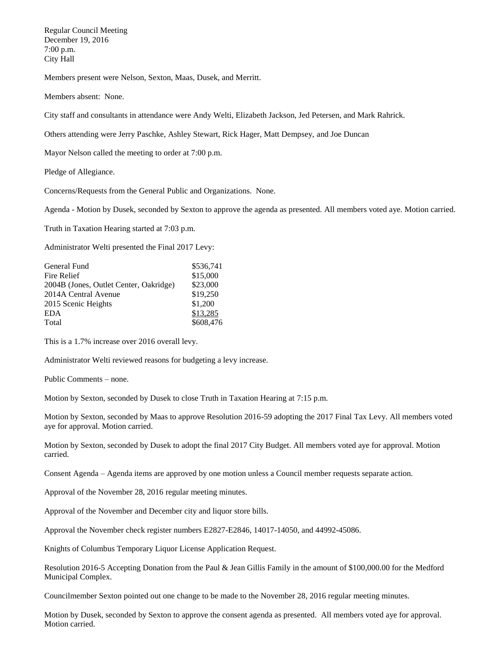Regular Council Meeting December 19, 2016 7:00 p.m. City Hall

Members present were Nelson, Sexton, Maas, Dusek, and Merritt.

Members absent: None.

City staff and consultants in attendance were Andy Welti, Elizabeth Jackson, Jed Petersen, and Mark Rahrick.

Others attending were Jerry Paschke, Ashley Stewart, Rick Hager, Matt Dempsey, and Joe Duncan

Mayor Nelson called the meeting to order at 7:00 p.m.

Pledge of Allegiance.

Concerns/Requests from the General Public and Organizations. None.

Agenda - Motion by Dusek, seconded by Sexton to approve the agenda as presented. All members voted aye. Motion carried.

Truth in Taxation Hearing started at 7:03 p.m.

Administrator Welti presented the Final 2017 Levy:

| General Fund                           | \$536.741 |
|----------------------------------------|-----------|
| Fire Relief                            | \$15,000  |
| 2004B (Jones, Outlet Center, Oakridge) | \$23,000  |
| 2014A Central Avenue                   | \$19,250  |
| 2015 Scenic Heights                    | \$1,200   |
| <b>EDA</b>                             | \$13,285  |
| Total                                  | \$608,476 |
|                                        |           |

This is a 1.7% increase over 2016 overall levy.

Administrator Welti reviewed reasons for budgeting a levy increase.

Public Comments – none.

Motion by Sexton, seconded by Dusek to close Truth in Taxation Hearing at 7:15 p.m.

Motion by Sexton, seconded by Maas to approve Resolution 2016-59 adopting the 2017 Final Tax Levy. All members voted aye for approval. Motion carried.

Motion by Sexton, seconded by Dusek to adopt the final 2017 City Budget. All members voted aye for approval. Motion carried.

Consent Agenda – Agenda items are approved by one motion unless a Council member requests separate action.

Approval of the November 28, 2016 regular meeting minutes.

Approval of the November and December city and liquor store bills.

Approval the November check register numbers E2827-E2846, 14017-14050, and 44992-45086.

Knights of Columbus Temporary Liquor License Application Request.

Resolution 2016-5 Accepting Donation from the Paul & Jean Gillis Family in the amount of \$100,000.00 for the Medford Municipal Complex.

Councilmember Sexton pointed out one change to be made to the November 28, 2016 regular meeting minutes.

Motion by Dusek, seconded by Sexton to approve the consent agenda as presented. All members voted aye for approval. Motion carried.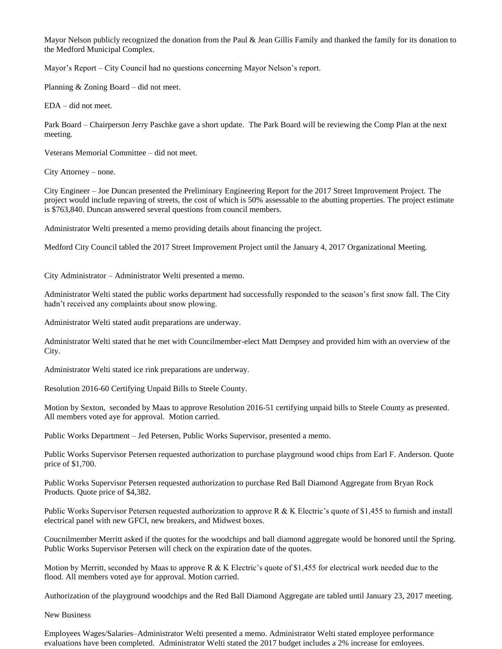Mayor Nelson publicly recognized the donation from the Paul & Jean Gillis Family and thanked the family for its donation to the Medford Municipal Complex.

Mayor's Report – City Council had no questions concerning Mayor Nelson's report.

Planning & Zoning Board – did not meet.

EDA – did not meet.

Park Board – Chairperson Jerry Paschke gave a short update. The Park Board will be reviewing the Comp Plan at the next meeting.

Veterans Memorial Committee – did not meet.

City Attorney – none.

City Engineer – Joe Duncan presented the Preliminary Engineering Report for the 2017 Street Improvement Project. The project would include repaving of streets, the cost of which is 50% assessable to the abutting properties. The project estimate is \$763,840. Duncan answered several questions from council members.

Administrator Welti presented a memo providing details about financing the project.

Medford City Council tabled the 2017 Street Improvement Project until the January 4, 2017 Organizational Meeting.

City Administrator – Administrator Welti presented a memo.

Administrator Welti stated the public works department had successfully responded to the season's first snow fall. The City hadn't received any complaints about snow plowing.

Administrator Welti stated audit preparations are underway.

Administrator Welti stated that he met with Councilmember-elect Matt Dempsey and provided him with an overview of the City.

Administrator Welti stated ice rink preparations are underway.

Resolution 2016-60 Certifying Unpaid Bills to Steele County.

Motion by Sexton, seconded by Maas to approve Resolution 2016-51 certifying unpaid bills to Steele County as presented. All members voted aye for approval. Motion carried.

Public Works Department – Jed Petersen, Public Works Supervisor, presented a memo.

Public Works Supervisor Petersen requested authorization to purchase playground wood chips from Earl F. Anderson. Quote price of \$1,700.

Public Works Supervisor Petersen requested authorization to purchase Red Ball Diamond Aggregate from Bryan Rock Products. Quote price of \$4,382.

Public Works Supervisor Petersen requested authorization to approve R & K Electric's quote of \$1,455 to furnish and install electrical panel with new GFCI, new breakers, and Midwest boxes.

Coucnilmember Merritt asked if the quotes for the woodchips and ball diamond aggregate would be honored until the Spring. Public Works Supervisor Petersen will check on the expiration date of the quotes.

Motion by Merritt, seconded by Maas to approve R & K Electric's quote of \$1,455 for electrical work needed due to the flood. All members voted aye for approval. Motion carried.

Authorization of the playground woodchips and the Red Ball Diamond Aggregate are tabled until January 23, 2017 meeting.

New Business

Employees Wages/Salaries–Administrator Welti presented a memo. Administrator Welti stated employee performance evaluations have been completed. Administrator Welti stated the 2017 budget includes a 2% increase for emloyees.